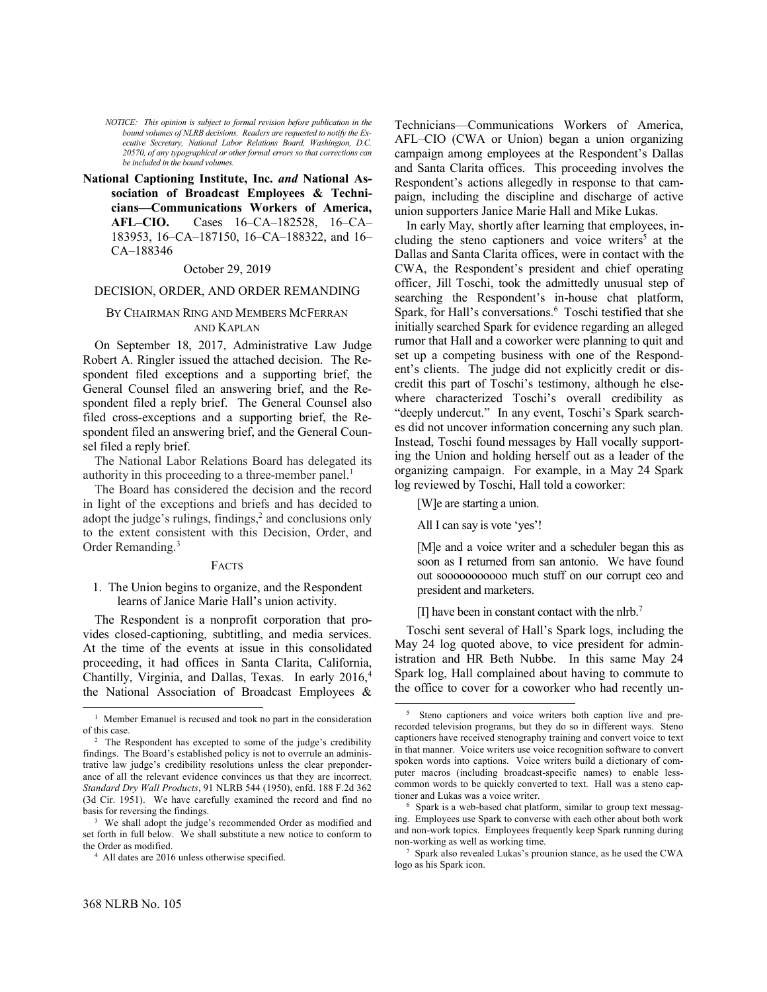*NOTICE: This opinion is subject to formal revision before publication in the bound volumes of NLRB decisions. Readers are requested to notify the Executive Secretary, National Labor Relations Board, Washington, D.C. 20570, of any typographical or other formal errors so that corrections can be included in the bound volumes.*

**National Captioning Institute, Inc.** *and* **National Association of Broadcast Employees & Technicians—Communications Workers of America, AFL–CIO.** Cases 16–CA–182528, 16–CA– 183953, 16–CA–187150, 16–CA–188322, and 16– CA–188346

# October 29, 2019

# DECISION, ORDER, AND ORDER REMANDING

## BY CHAIRMAN RING AND MEMBERS MCFERRAN AND KAPLAN

On September 18, 2017, Administrative Law Judge Robert A. Ringler issued the attached decision. The Respondent filed exceptions and a supporting brief, the General Counsel filed an answering brief, and the Respondent filed a reply brief. The General Counsel also filed cross-exceptions and a supporting brief, the Respondent filed an answering brief, and the General Counsel filed a reply brief.

The National Labor Relations Board has delegated its authority in this proceeding to a three-member panel.<sup>1</sup>

The Board has considered the decision and the record in light of the exceptions and briefs and has decided to adopt the judge's rulings, findings,<sup>2</sup> and conclusions only to the extent consistent with this Decision, Order, and Order Remanding.<sup>3</sup>

### FACTS

1. The Union begins to organize, and the Respondent learns of Janice Marie Hall's union activity.

The Respondent is a nonprofit corporation that provides closed-captioning, subtitling, and media services. At the time of the events at issue in this consolidated proceeding, it had offices in Santa Clarita, California, Chantilly, Virginia, and Dallas, Texas. In early 2016,<sup>4</sup> the National Association of Broadcast Employees & Technicians—Communications Workers of America, AFL–CIO (CWA or Union) began a union organizing campaign among employees at the Respondent's Dallas and Santa Clarita offices. This proceeding involves the Respondent's actions allegedly in response to that campaign, including the discipline and discharge of active union supporters Janice Marie Hall and Mike Lukas.

In early May, shortly after learning that employees, including the steno captioners and voice writers<sup>5</sup> at the Dallas and Santa Clarita offices, were in contact with the CWA, the Respondent's president and chief operating officer, Jill Toschi, took the admittedly unusual step of searching the Respondent's in-house chat platform, Spark, for Hall's conversations.<sup>6</sup> Toschi testified that she initially searched Spark for evidence regarding an alleged rumor that Hall and a coworker were planning to quit and set up a competing business with one of the Respondent's clients. The judge did not explicitly credit or discredit this part of Toschi's testimony, although he elsewhere characterized Toschi's overall credibility as "deeply undercut." In any event, Toschi's Spark searches did not uncover information concerning any such plan. Instead, Toschi found messages by Hall vocally supporting the Union and holding herself out as a leader of the organizing campaign. For example, in a May 24 Spark log reviewed by Toschi, Hall told a coworker:

[W]e are starting a union.

All I can say is vote 'yes'!

l

[M]e and a voice writer and a scheduler began this as soon as I returned from san antonio. We have found out sooooooooooo much stuff on our corrupt ceo and president and marketers.

[I] have been in constant contact with the nlrb.<sup>7</sup>

Toschi sent several of Hall's Spark logs, including the May 24 log quoted above, to vice president for administration and HR Beth Nubbe. In this same May 24 Spark log, Hall complained about having to commute to the office to cover for a coworker who had recently un-

-

<sup>&</sup>lt;sup>1</sup> Member Emanuel is recused and took no part in the consideration of this case.

<sup>&</sup>lt;sup>2</sup> The Respondent has excepted to some of the judge's credibility findings. The Board's established policy is not to overrule an administrative law judge's credibility resolutions unless the clear preponderance of all the relevant evidence convinces us that they are incorrect. *Standard Dry Wall Products*, 91 NLRB 544 (1950), enfd. 188 F.2d 362 (3d Cir. 1951). We have carefully examined the record and find no basis for reversing the findings.

<sup>&</sup>lt;sup>3</sup> We shall adopt the judge's recommended Order as modified and set forth in full below. We shall substitute a new notice to conform to the Order as modified.

<sup>4</sup> All dates are 2016 unless otherwise specified.

<sup>5</sup> Steno captioners and voice writers both caption live and prerecorded television programs, but they do so in different ways. Steno captioners have received stenography training and convert voice to text in that manner. Voice writers use voice recognition software to convert spoken words into captions. Voice writers build a dictionary of computer macros (including broadcast-specific names) to enable lesscommon words to be quickly converted to text. Hall was a steno captioner and Lukas was a voice writer.

<sup>6</sup> Spark is a web-based chat platform, similar to group text messaging. Employees use Spark to converse with each other about both work and non-work topics. Employees frequently keep Spark running during non-working as well as working time.

<sup>7</sup> Spark also revealed Lukas's prounion stance, as he used the CWA logo as his Spark icon.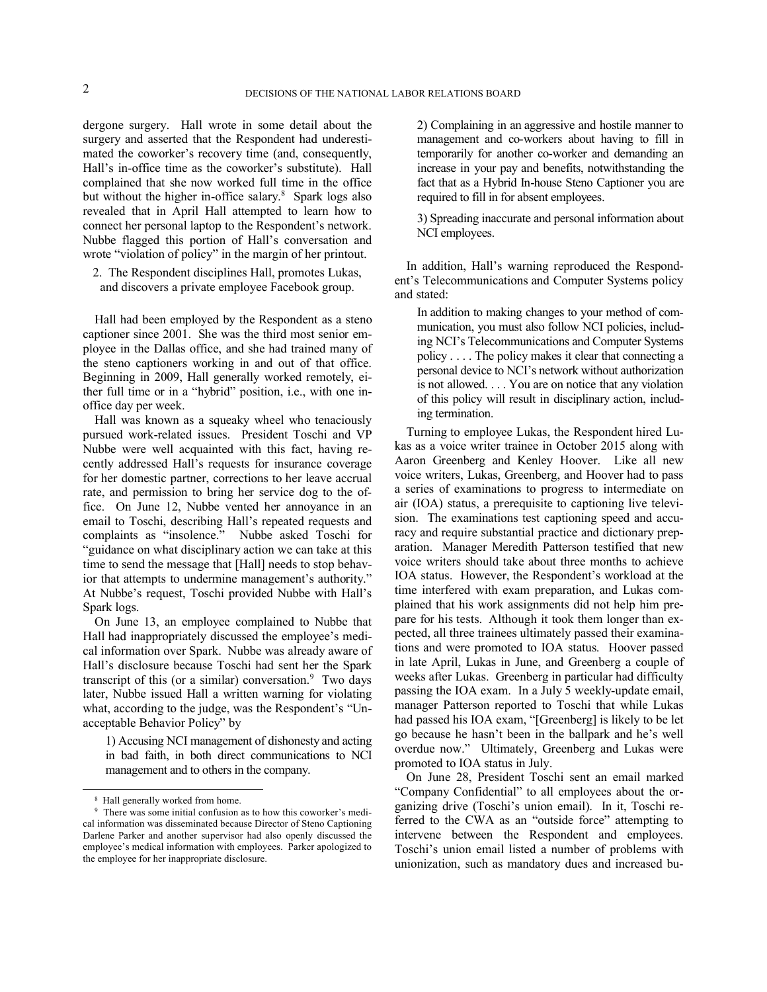dergone surgery. Hall wrote in some detail about the surgery and asserted that the Respondent had underestimated the coworker's recovery time (and, consequently, Hall's in-office time as the coworker's substitute). Hall complained that she now worked full time in the office but without the higher in-office salary.<sup>8</sup> Spark logs also revealed that in April Hall attempted to learn how to connect her personal laptop to the Respondent's network. Nubbe flagged this portion of Hall's conversation and wrote "violation of policy" in the margin of her printout.

2. The Respondent disciplines Hall, promotes Lukas, and discovers a private employee Facebook group.

Hall had been employed by the Respondent as a steno captioner since 2001. She was the third most senior employee in the Dallas office, and she had trained many of the steno captioners working in and out of that office. Beginning in 2009, Hall generally worked remotely, either full time or in a "hybrid" position, i.e., with one inoffice day per week.

Hall was known as a squeaky wheel who tenaciously pursued work-related issues. President Toschi and VP Nubbe were well acquainted with this fact, having recently addressed Hall's requests for insurance coverage for her domestic partner, corrections to her leave accrual rate, and permission to bring her service dog to the office. On June 12, Nubbe vented her annoyance in an email to Toschi, describing Hall's repeated requests and complaints as "insolence." Nubbe asked Toschi for "guidance on what disciplinary action we can take at this time to send the message that [Hall] needs to stop behavior that attempts to undermine management's authority." At Nubbe's request, Toschi provided Nubbe with Hall's Spark logs.

On June 13, an employee complained to Nubbe that Hall had inappropriately discussed the employee's medical information over Spark. Nubbe was already aware of Hall's disclosure because Toschi had sent her the Spark transcript of this (or a similar) conversation.<sup>9</sup> Two days later, Nubbe issued Hall a written warning for violating what, according to the judge, was the Respondent's "Unacceptable Behavior Policy" by

1) Accusing NCI management of dishonesty and acting in bad faith, in both direct communications to NCI management and to others in the company.

-

2) Complaining in an aggressive and hostile manner to management and co-workers about having to fill in temporarily for another co-worker and demanding an increase in your pay and benefits, notwithstanding the fact that as a Hybrid In-house Steno Captioner you are required to fill in for absent employees.

3) Spreading inaccurate and personal information about NCI employees.

In addition, Hall's warning reproduced the Respondent's Telecommunications and Computer Systems policy and stated:

In addition to making changes to your method of communication, you must also follow NCI policies, including NCI's Telecommunications and Computer Systems policy . . . . The policy makes it clear that connecting a personal device to NCI's network without authorization is not allowed. . . . You are on notice that any violation of this policy will result in disciplinary action, including termination.

Turning to employee Lukas, the Respondent hired Lukas as a voice writer trainee in October 2015 along with Aaron Greenberg and Kenley Hoover. Like all new voice writers, Lukas, Greenberg, and Hoover had to pass a series of examinations to progress to intermediate on air (IOA) status, a prerequisite to captioning live television. The examinations test captioning speed and accuracy and require substantial practice and dictionary preparation. Manager Meredith Patterson testified that new voice writers should take about three months to achieve IOA status. However, the Respondent's workload at the time interfered with exam preparation, and Lukas complained that his work assignments did not help him prepare for his tests. Although it took them longer than expected, all three trainees ultimately passed their examinations and were promoted to IOA status. Hoover passed in late April, Lukas in June, and Greenberg a couple of weeks after Lukas. Greenberg in particular had difficulty passing the IOA exam. In a July 5 weekly-update email, manager Patterson reported to Toschi that while Lukas had passed his IOA exam, "[Greenberg] is likely to be let go because he hasn't been in the ballpark and he's well overdue now." Ultimately, Greenberg and Lukas were promoted to IOA status in July.

On June 28, President Toschi sent an email marked "Company Confidential" to all employees about the organizing drive (Toschi's union email). In it, Toschi referred to the CWA as an "outside force" attempting to intervene between the Respondent and employees. Toschi's union email listed a number of problems with unionization, such as mandatory dues and increased bu-

<sup>8</sup> Hall generally worked from home.

<sup>9</sup> There was some initial confusion as to how this coworker's medical information was disseminated because Director of Steno Captioning Darlene Parker and another supervisor had also openly discussed the employee's medical information with employees. Parker apologized to the employee for her inappropriate disclosure.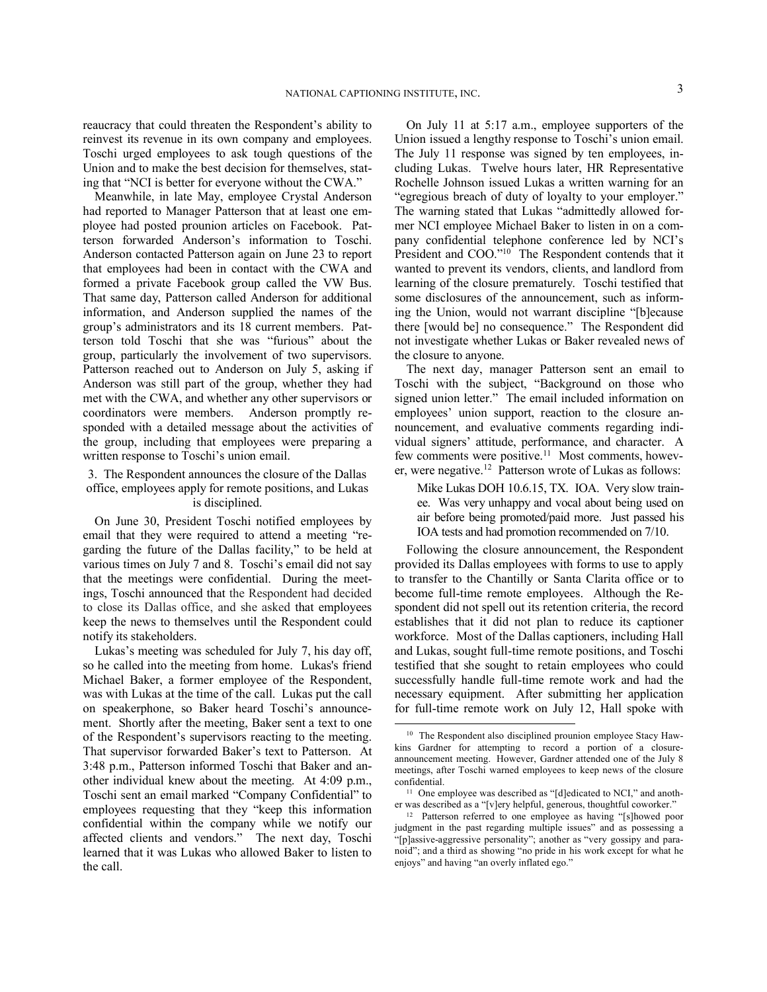reaucracy that could threaten the Respondent's ability to reinvest its revenue in its own company and employees. Toschi urged employees to ask tough questions of the Union and to make the best decision for themselves, stating that "NCI is better for everyone without the CWA."

Meanwhile, in late May, employee Crystal Anderson had reported to Manager Patterson that at least one employee had posted prounion articles on Facebook. Patterson forwarded Anderson's information to Toschi. Anderson contacted Patterson again on June 23 to report that employees had been in contact with the CWA and formed a private Facebook group called the VW Bus. That same day, Patterson called Anderson for additional information, and Anderson supplied the names of the group's administrators and its 18 current members. Patterson told Toschi that she was "furious" about the group, particularly the involvement of two supervisors. Patterson reached out to Anderson on July 5, asking if Anderson was still part of the group, whether they had met with the CWA, and whether any other supervisors or coordinators were members. Anderson promptly responded with a detailed message about the activities of the group, including that employees were preparing a written response to Toschi's union email.

# 3. The Respondent announces the closure of the Dallas office, employees apply for remote positions, and Lukas is disciplined.

On June 30, President Toschi notified employees by email that they were required to attend a meeting "regarding the future of the Dallas facility," to be held at various times on July 7 and 8. Toschi's email did not say that the meetings were confidential. During the meetings, Toschi announced that the Respondent had decided to close its Dallas office, and she asked that employees keep the news to themselves until the Respondent could notify its stakeholders.

Lukas's meeting was scheduled for July 7, his day off, so he called into the meeting from home. Lukas's friend Michael Baker, a former employee of the Respondent, was with Lukas at the time of the call. Lukas put the call on speakerphone, so Baker heard Toschi's announcement. Shortly after the meeting, Baker sent a text to one of the Respondent's supervisors reacting to the meeting. That supervisor forwarded Baker's text to Patterson. At 3:48 p.m., Patterson informed Toschi that Baker and another individual knew about the meeting. At 4:09 p.m., Toschi sent an email marked "Company Confidential" to employees requesting that they "keep this information confidential within the company while we notify our affected clients and vendors." The next day, Toschi learned that it was Lukas who allowed Baker to listen to the call.

On July 11 at 5:17 a.m., employee supporters of the Union issued a lengthy response to Toschi's union email. The July 11 response was signed by ten employees, including Lukas. Twelve hours later, HR Representative Rochelle Johnson issued Lukas a written warning for an "egregious breach of duty of loyalty to your employer." The warning stated that Lukas "admittedly allowed former NCI employee Michael Baker to listen in on a company confidential telephone conference led by NCI's President and COO."<sup>10</sup> The Respondent contends that it wanted to prevent its vendors, clients, and landlord from learning of the closure prematurely. Toschi testified that some disclosures of the announcement, such as informing the Union, would not warrant discipline "[b]ecause there [would be] no consequence." The Respondent did not investigate whether Lukas or Baker revealed news of the closure to anyone.

The next day, manager Patterson sent an email to Toschi with the subject, "Background on those who signed union letter." The email included information on employees' union support, reaction to the closure announcement, and evaluative comments regarding individual signers' attitude, performance, and character. A few comments were positive.<sup>11</sup> Most comments, however, were negative.<sup>12</sup> Patterson wrote of Lukas as follows:

Mike Lukas DOH 10.6.15, TX. IOA. Very slow trainee. Was very unhappy and vocal about being used on air before being promoted/paid more. Just passed his IOA tests and had promotion recommended on 7/10.

Following the closure announcement, the Respondent provided its Dallas employees with forms to use to apply to transfer to the Chantilly or Santa Clarita office or to become full-time remote employees. Although the Respondent did not spell out its retention criteria, the record establishes that it did not plan to reduce its captioner workforce. Most of the Dallas captioners, including Hall and Lukas, sought full-time remote positions, and Toschi testified that she sought to retain employees who could successfully handle full-time remote work and had the necessary equipment. After submitting her application for full-time remote work on July 12, Hall spoke with

<sup>&</sup>lt;sup>10</sup> The Respondent also disciplined prounion employee Stacy Hawkins Gardner for attempting to record a portion of a closureannouncement meeting. However, Gardner attended one of the July 8 meetings, after Toschi warned employees to keep news of the closure confidential.

<sup>&</sup>lt;sup>11</sup> One employee was described as "[d]edicated to NCI," and another was described as a "[v]ery helpful, generous, thoughtful coworker."

<sup>12</sup> Patterson referred to one employee as having "[s]howed poor judgment in the past regarding multiple issues" and as possessing a "[p]assive-aggressive personality"; another as "very gossipy and paranoid"; and a third as showing "no pride in his work except for what he enjoys" and having "an overly inflated ego."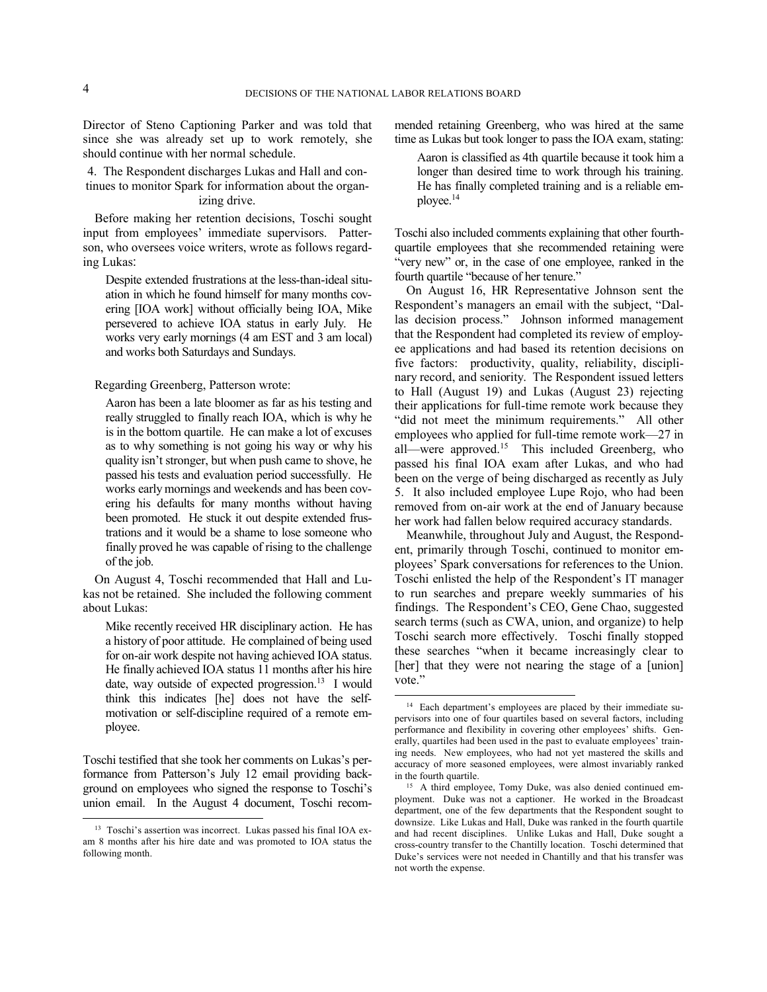Director of Steno Captioning Parker and was told that since she was already set up to work remotely, she should continue with her normal schedule.

4. The Respondent discharges Lukas and Hall and continues to monitor Spark for information about the organizing drive.

Before making her retention decisions, Toschi sought input from employees' immediate supervisors. Patterson, who oversees voice writers, wrote as follows regarding Lukas:

Despite extended frustrations at the less-than-ideal situation in which he found himself for many months covering [IOA work] without officially being IOA, Mike persevered to achieve IOA status in early July. He works very early mornings (4 am EST and 3 am local) and works both Saturdays and Sundays.

Regarding Greenberg, Patterson wrote:

Aaron has been a late bloomer as far as his testing and really struggled to finally reach IOA, which is why he is in the bottom quartile. He can make a lot of excuses as to why something is not going his way or why his quality isn't stronger, but when push came to shove, he passed his tests and evaluation period successfully. He works early mornings and weekends and has been covering his defaults for many months without having been promoted. He stuck it out despite extended frustrations and it would be a shame to lose someone who finally proved he was capable of rising to the challenge of the job.

On August 4, Toschi recommended that Hall and Lukas not be retained. She included the following comment about Lukas:

Mike recently received HR disciplinary action. He has a history of poor attitude. He complained of being used for on-air work despite not having achieved IOA status. He finally achieved IOA status 11 months after his hire date, way outside of expected progression.<sup>13</sup> I would think this indicates [he] does not have the selfmotivation or self-discipline required of a remote employee.

Toschi testified that she took her comments on Lukas's performance from Patterson's July 12 email providing background on employees who signed the response to Toschi's union email. In the August 4 document, Toschi recommended retaining Greenberg, who was hired at the same time as Lukas but took longer to pass the IOA exam, stating:

Aaron is classified as 4th quartile because it took him a longer than desired time to work through his training. He has finally completed training and is a reliable employee.<sup>14</sup>

Toschi also included comments explaining that other fourthquartile employees that she recommended retaining were "very new" or, in the case of one employee, ranked in the fourth quartile "because of her tenure."

On August 16, HR Representative Johnson sent the Respondent's managers an email with the subject, "Dallas decision process." Johnson informed management that the Respondent had completed its review of employee applications and had based its retention decisions on five factors: productivity, quality, reliability, disciplinary record, and seniority. The Respondent issued letters to Hall (August 19) and Lukas (August 23) rejecting their applications for full-time remote work because they "did not meet the minimum requirements." All other employees who applied for full-time remote work—27 in all—were approved.<sup>15</sup> This included Greenberg, who passed his final IOA exam after Lukas, and who had been on the verge of being discharged as recently as July 5. It also included employee Lupe Rojo, who had been removed from on-air work at the end of January because her work had fallen below required accuracy standards.

Meanwhile, throughout July and August, the Respondent, primarily through Toschi, continued to monitor employees' Spark conversations for references to the Union. Toschi enlisted the help of the Respondent's IT manager to run searches and prepare weekly summaries of his findings. The Respondent's CEO, Gene Chao, suggested search terms (such as CWA, union, and organize) to help Toschi search more effectively. Toschi finally stopped these searches "when it became increasingly clear to [her] that they were not nearing the stage of a [union] vote."

-

<sup>&</sup>lt;sup>13</sup> Toschi's assertion was incorrect. Lukas passed his final IOA exam 8 months after his hire date and was promoted to IOA status the following month.

<sup>14</sup> Each department's employees are placed by their immediate supervisors into one of four quartiles based on several factors, including performance and flexibility in covering other employees' shifts. Generally, quartiles had been used in the past to evaluate employees' training needs. New employees, who had not yet mastered the skills and accuracy of more seasoned employees, were almost invariably ranked in the fourth quartile.

<sup>&</sup>lt;sup>15</sup> A third employee, Tomy Duke, was also denied continued employment. Duke was not a captioner. He worked in the Broadcast department, one of the few departments that the Respondent sought to downsize. Like Lukas and Hall, Duke was ranked in the fourth quartile and had recent disciplines. Unlike Lukas and Hall, Duke sought a cross-country transfer to the Chantilly location. Toschi determined that Duke's services were not needed in Chantilly and that his transfer was not worth the expense.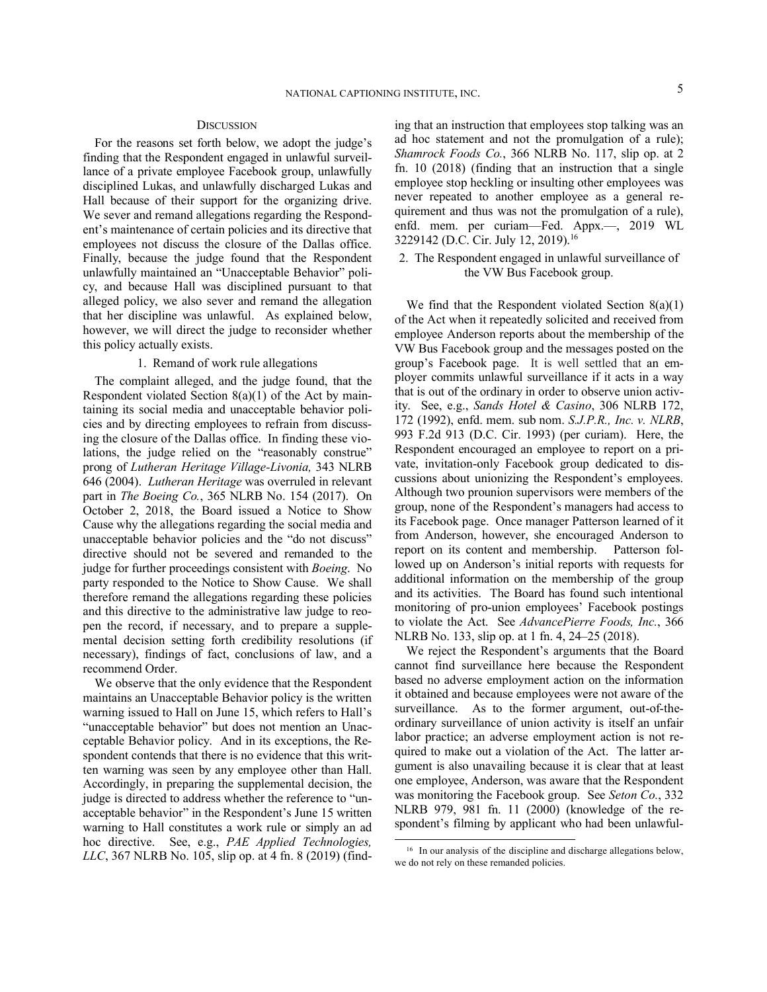# **DISCUSSION**

For the reasons set forth below, we adopt the judge's finding that the Respondent engaged in unlawful surveillance of a private employee Facebook group, unlawfully disciplined Lukas, and unlawfully discharged Lukas and Hall because of their support for the organizing drive. We sever and remand allegations regarding the Respondent's maintenance of certain policies and its directive that employees not discuss the closure of the Dallas office. Finally, because the judge found that the Respondent unlawfully maintained an "Unacceptable Behavior" policy, and because Hall was disciplined pursuant to that alleged policy, we also sever and remand the allegation that her discipline was unlawful. As explained below, however, we will direct the judge to reconsider whether this policy actually exists.

# 1. Remand of work rule allegations

The complaint alleged, and the judge found, that the Respondent violated Section 8(a)(1) of the Act by maintaining its social media and unacceptable behavior policies and by directing employees to refrain from discussing the closure of the Dallas office. In finding these violations, the judge relied on the "reasonably construe" prong of *Lutheran Heritage Village-Livonia,* 343 NLRB 646 (2004). *Lutheran Heritage* was overruled in relevant part in *The Boeing Co.*, 365 NLRB No. 154 (2017). On October 2, 2018, the Board issued a Notice to Show Cause why the allegations regarding the social media and unacceptable behavior policies and the "do not discuss" directive should not be severed and remanded to the judge for further proceedings consistent with *Boeing*. No party responded to the Notice to Show Cause. We shall therefore remand the allegations regarding these policies and this directive to the administrative law judge to reopen the record, if necessary, and to prepare a supplemental decision setting forth credibility resolutions (if necessary), findings of fact, conclusions of law, and a recommend Order.

We observe that the only evidence that the Respondent maintains an Unacceptable Behavior policy is the written warning issued to Hall on June 15, which refers to Hall's "unacceptable behavior" but does not mention an Unacceptable Behavior policy. And in its exceptions, the Respondent contends that there is no evidence that this written warning was seen by any employee other than Hall. Accordingly, in preparing the supplemental decision, the judge is directed to address whether the reference to "unacceptable behavior" in the Respondent's June 15 written warning to Hall constitutes a work rule or simply an ad hoc directive. See, e.g., *PAE Applied Technologies, LLC*, 367 NLRB No. 105, slip op. at 4 fn. 8 (2019) (finding that an instruction that employees stop talking was an ad hoc statement and not the promulgation of a rule); *Shamrock Foods Co.*, 366 NLRB No. 117, slip op. at 2 fn. 10 (2018) (finding that an instruction that a single employee stop heckling or insulting other employees was never repeated to another employee as a general requirement and thus was not the promulgation of a rule), enfd. mem. per curiam—Fed. Appx.—, 2019 WL 3229142 (D.C. Cir. July 12, 2019).<sup>16</sup>

2. The Respondent engaged in unlawful surveillance of the VW Bus Facebook group.

We find that the Respondent violated Section 8(a)(1) of the Act when it repeatedly solicited and received from employee Anderson reports about the membership of the VW Bus Facebook group and the messages posted on the group's Facebook page. It is well settled that an employer commits unlawful surveillance if it acts in a way that is out of the ordinary in order to observe union activity. See, e.g., *Sands Hotel & Casino*, 306 NLRB 172, 172 (1992), enfd. mem. sub nom. *S.J.P.R., Inc. v. NLRB*, 993 F.2d 913 (D.C. Cir. 1993) (per curiam). Here, the Respondent encouraged an employee to report on a private, invitation-only Facebook group dedicated to discussions about unionizing the Respondent's employees. Although two prounion supervisors were members of the group, none of the Respondent's managers had access to its Facebook page. Once manager Patterson learned of it from Anderson, however, she encouraged Anderson to report on its content and membership. Patterson followed up on Anderson's initial reports with requests for additional information on the membership of the group and its activities. The Board has found such intentional monitoring of pro-union employees' Facebook postings to violate the Act. See *AdvancePierre Foods, Inc.*, 366 NLRB No. 133, slip op. at 1 fn. 4, 24–25 (2018).

We reject the Respondent's arguments that the Board cannot find surveillance here because the Respondent based no adverse employment action on the information it obtained and because employees were not aware of the surveillance. As to the former argument, out-of-theordinary surveillance of union activity is itself an unfair labor practice; an adverse employment action is not required to make out a violation of the Act. The latter argument is also unavailing because it is clear that at least one employee, Anderson, was aware that the Respondent was monitoring the Facebook group. See *Seton Co.*, 332 NLRB 979, 981 fn. 11 (2000) (knowledge of the respondent's filming by applicant who had been unlawful-

l

<sup>&</sup>lt;sup>16</sup> In our analysis of the discipline and discharge allegations below, we do not rely on these remanded policies.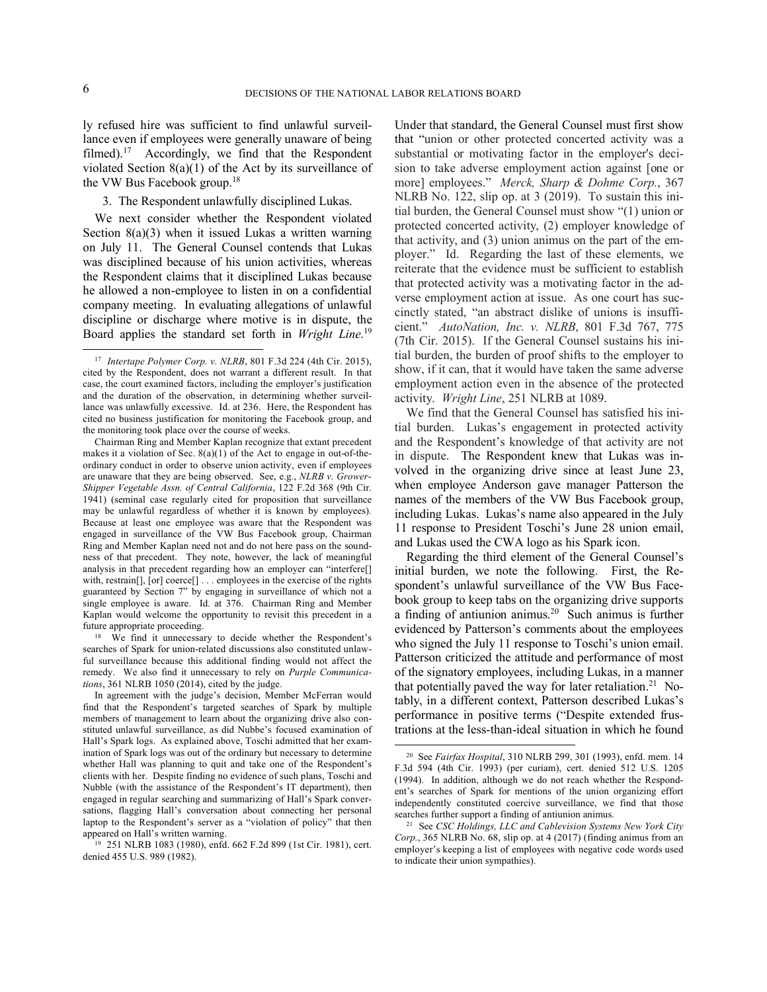1

l

ly refused hire was sufficient to find unlawful surveillance even if employees were generally unaware of being filmed).<sup>17</sup> Accordingly, we find that the Respondent violated Section 8(a)(1) of the Act by its surveillance of the VW Bus Facebook group.<sup>18</sup>

## 3. The Respondent unlawfully disciplined Lukas.

We next consider whether the Respondent violated Section 8(a)(3) when it issued Lukas a written warning on July 11. The General Counsel contends that Lukas was disciplined because of his union activities, whereas the Respondent claims that it disciplined Lukas because he allowed a non-employee to listen in on a confidential company meeting. In evaluating allegations of unlawful discipline or discharge where motive is in dispute, the Board applies the standard set forth in *Wright Line*. 19

Chairman Ring and Member Kaplan recognize that extant precedent makes it a violation of Sec.  $8(a)(1)$  of the Act to engage in out-of-theordinary conduct in order to observe union activity, even if employees are unaware that they are being observed. See, e.g., *NLRB v. Grower-Shipper Vegetable Assn. of Central California*, 122 F.2d 368 (9th Cir. 1941) (seminal case regularly cited for proposition that surveillance may be unlawful regardless of whether it is known by employees). Because at least one employee was aware that the Respondent was engaged in surveillance of the VW Bus Facebook group, Chairman Ring and Member Kaplan need not and do not here pass on the soundness of that precedent. They note, however, the lack of meaningful analysis in that precedent regarding how an employer can "interfere[] with, restrain[], [or] coerce[] . . . employees in the exercise of the rights guaranteed by Section 7" by engaging in surveillance of which not a single employee is aware. Id. at 376. Chairman Ring and Member Kaplan would welcome the opportunity to revisit this precedent in a future appropriate proceeding.

<sup>18</sup> We find it unnecessary to decide whether the Respondent's searches of Spark for union-related discussions also constituted unlawful surveillance because this additional finding would not affect the remedy. We also find it unnecessary to rely on *Purple Communications*, 361 NLRB 1050 (2014), cited by the judge.

In agreement with the judge's decision, Member McFerran would find that the Respondent's targeted searches of Spark by multiple members of management to learn about the organizing drive also constituted unlawful surveillance, as did Nubbe's focused examination of Hall's Spark logs. As explained above, Toschi admitted that her examination of Spark logs was out of the ordinary but necessary to determine whether Hall was planning to quit and take one of the Respondent's clients with her. Despite finding no evidence of such plans, Toschi and Nubble (with the assistance of the Respondent's IT department), then engaged in regular searching and summarizing of Hall's Spark conversations, flagging Hall's conversation about connecting her personal laptop to the Respondent's server as a "violation of policy" that then appeared on Hall's written warning.

Under that standard, the General Counsel must first show that "union or other protected concerted activity was a substantial or motivating factor in the employer's decision to take adverse employment action against [one or more] employees." *Merck, Sharp & Dohme Corp.*, 367 NLRB No. 122, slip op. at 3 (2019). To sustain this initial burden, the General Counsel must show "(1) union or protected concerted activity, (2) employer knowledge of that activity, and (3) union animus on the part of the employer." Id. Regarding the last of these elements, we reiterate that the evidence must be sufficient to establish that protected activity was a motivating factor in the adverse employment action at issue. As one court has succinctly stated, "an abstract dislike of unions is insufficient." *AutoNation, Inc. v. NLRB*, 801 F.3d 767, 775 (7th Cir. 2015). If the General Counsel sustains his initial burden, the burden of proof shifts to the employer to show, if it can, that it would have taken the same adverse employment action even in the absence of the protected activity. *Wright Line*, 251 NLRB at 1089.

We find that the General Counsel has satisfied his initial burden. Lukas's engagement in protected activity and the Respondent's knowledge of that activity are not in dispute. The Respondent knew that Lukas was involved in the organizing drive since at least June 23, when employee Anderson gave manager Patterson the names of the members of the VW Bus Facebook group, including Lukas. Lukas's name also appeared in the July 11 response to President Toschi's June 28 union email, and Lukas used the CWA logo as his Spark icon.

Regarding the third element of the General Counsel's initial burden, we note the following. First, the Respondent's unlawful surveillance of the VW Bus Facebook group to keep tabs on the organizing drive supports a finding of antiunion animus. <sup>20</sup> Such animus is further evidenced by Patterson's comments about the employees who signed the July 11 response to Toschi's union email. Patterson criticized the attitude and performance of most of the signatory employees, including Lukas, in a manner that potentially paved the way for later retaliation.<sup>21</sup> Notably, in a different context, Patterson described Lukas's performance in positive terms ("Despite extended frustrations at the less-than-ideal situation in which he found

<sup>17</sup> *Intertape Polymer Corp. v. NLRB*, 801 F.3d 224 (4th Cir. 2015), cited by the Respondent, does not warrant a different result. In that case, the court examined factors, including the employer's justification and the duration of the observation, in determining whether surveillance was unlawfully excessive. Id. at 236. Here, the Respondent has cited no business justification for monitoring the Facebook group, and the monitoring took place over the course of weeks.

<sup>19</sup> 251 NLRB 1083 (1980), enfd. 662 F.2d 899 (1st Cir. 1981), cert. denied 455 U.S. 989 (1982).

<sup>20</sup> See *Fairfax Hospital*, 310 NLRB 299, 301 (1993), enfd. mem. 14 F.3d 594 (4th Cir. 1993) (per curiam), cert. denied 512 U.S. 1205 (1994). In addition, although we do not reach whether the Respondent's searches of Spark for mentions of the union organizing effort independently constituted coercive surveillance, we find that those searches further support a finding of antiunion animus.

<sup>21</sup> See *CSC Holdings, LLC and Cablevision Systems New York City Corp.*, 365 NLRB No. 68, slip op. at 4 (2017) (finding animus from an employer's keeping a list of employees with negative code words used to indicate their union sympathies).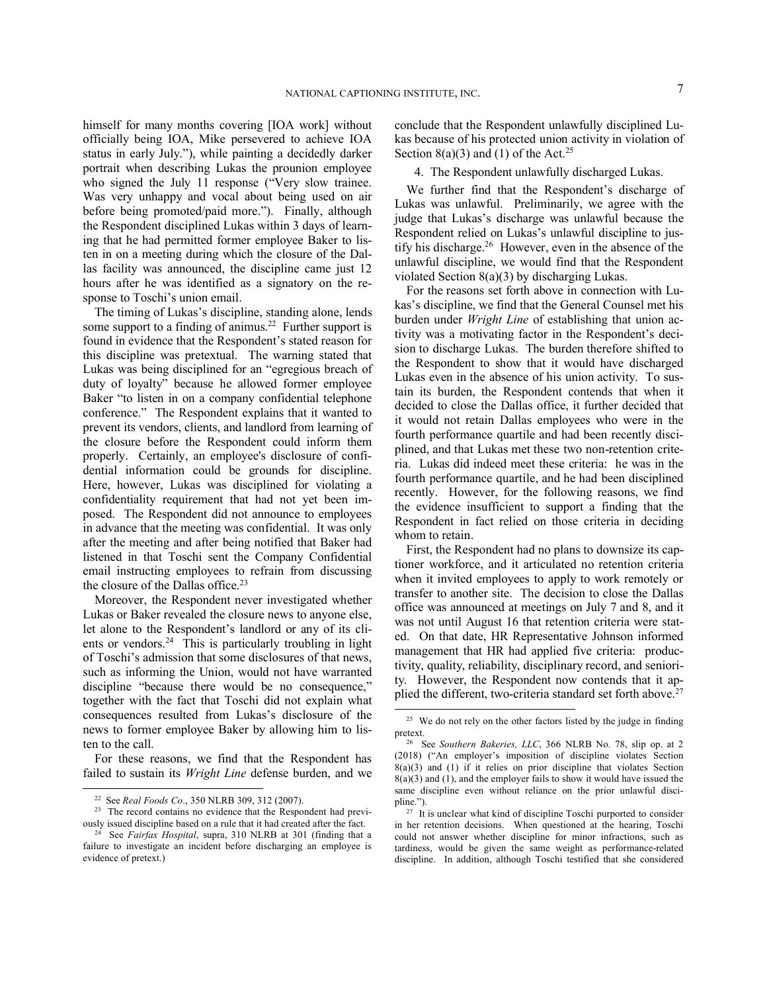himself for many months covering [IOA work] without officially being IOA, Mike persevered to achieve IOA status in early July."), while painting a decidedly darker portrait when describing Lukas the prounion employee who signed the July 11 response ("Very slow trainee. Was very unhappy and vocal about being used on air before being promoted/paid more."). Finally, although the Respondent disciplined Lukas within 3 days of learning that he had permitted former employee Baker to listen in on a meeting during which the closure of the Dallas facility was announced, the discipline came just 12 hours after he was identified as a signatory on the response to Toschi's union email.

The timing of Lukas's discipline, standing alone, lends some support to a finding of animus.<sup>22</sup> Further support is found in evidence that the Respondent's stated reason for this discipline was pretextual. The warning stated that Lukas was being disciplined for an "egregious breach of duty of loyalty" because he allowed former employee Baker "to listen in on a company confidential telephone conference." The Respondent explains that it wanted to prevent its vendors, clients, and landlord from learning of the closure before the Respondent could inform them properly. Certainly, an employee's disclosure of confidential information could be grounds for discipline. Here, however, Lukas was disciplined for violating a confidentiality requirement that had not yet been imposed. The Respondent did not announce to employees in advance that the meeting was confidential. It was only after the meeting and after being notified that Baker had listened in that Toschi sent the Company Confidential email instructing employees to refrain from discussing the closure of the Dallas office.<sup>23</sup>

Moreover, the Respondent never investigated whether Lukas or Baker revealed the closure news to anyone else, let alone to the Respondent's landlord or any of its clients or vendors.<sup>24</sup> This is particularly troubling in light of Toschi's admission that some disclosures of that news, such as informing the Union, would not have warranted discipline "because there would be no consequence," together with the fact that Toschi did not explain what consequences resulted from Lukas's disclosure of the news to former employee Baker by allowing him to listen to the call.

For these reasons, we find that the Respondent has failed to sustain its *Wright Line* defense burden, and we

-

conclude that the Respondent unlawfully disciplined Lukas because of his protected union activity in violation of Section 8(a)(3) and (1) of the Act.<sup>25</sup>

4. The Respondent unlawfully discharged Lukas.

We further find that the Respondent's discharge of Lukas was unlawful. Preliminarily, we agree with the judge that Lukas's discharge was unlawful because the Respondent relied on Lukas's unlawful discipline to justify his discharge. 26 However, even in the absence of the unlawful discipline, we would find that the Respondent violated Section 8(a)(3) by discharging Lukas.

For the reasons set forth above in connection with Lukas's discipline, we find that the General Counsel met his burden under *Wright Line* of establishing that union activity was a motivating factor in the Respondent's decision to discharge Lukas. The burden therefore shifted to the Respondent to show that it would have discharged Lukas even in the absence of his union activity. To sustain its burden, the Respondent contends that when it decided to close the Dallas office, it further decided that it would not retain Dallas employees who were in the fourth performance quartile and had been recently disciplined, and that Lukas met these two non-retention criteria. Lukas did indeed meet these criteria: he was in the fourth performance quartile, and he had been disciplined recently. However, for the following reasons, we find the evidence insufficient to support a finding that the Respondent in fact relied on those criteria in deciding whom to retain.

First, the Respondent had no plans to downsize its captioner workforce, and it articulated no retention criteria when it invited employees to apply to work remotely or transfer to another site. The decision to close the Dallas office was announced at meetings on July 7 and 8, and it was not until August 16 that retention criteria were stated. On that date, HR Representative Johnson informed management that HR had applied five criteria: productivity, quality, reliability, disciplinary record, and seniority. However, the Respondent now contends that it applied the different, two-criteria standard set forth above.<sup>27</sup>

<sup>22</sup> See *Real Foods Co*., 350 NLRB 309, 312 (2007).

<sup>&</sup>lt;sup>23</sup> The record contains no evidence that the Respondent had previously issued discipline based on a rule that it had created after the fact.

<sup>24</sup> See *Fairfax Hospital*, supra, 310 NLRB at 301 (finding that a failure to investigate an incident before discharging an employee is evidence of pretext.)

<sup>&</sup>lt;sup>25</sup> We do not rely on the other factors listed by the judge in finding pretext.

<sup>26</sup> See *Southern Bakeries, LLC*, 366 NLRB No. 78, slip op. at 2 (2018) ("An employer's imposition of discipline violates Section  $8(a)(3)$  and (1) if it relies on prior discipline that violates Section  $8(a)(3)$  and (1), and the employer fails to show it would have issued the same discipline even without reliance on the prior unlawful discipline.").

<sup>&</sup>lt;sup>27</sup> It is unclear what kind of discipline Toschi purported to consider in her retention decisions. When questioned at the hearing, Toschi could not answer whether discipline for minor infractions, such as tardiness, would be given the same weight as performance-related discipline. In addition, although Toschi testified that she considered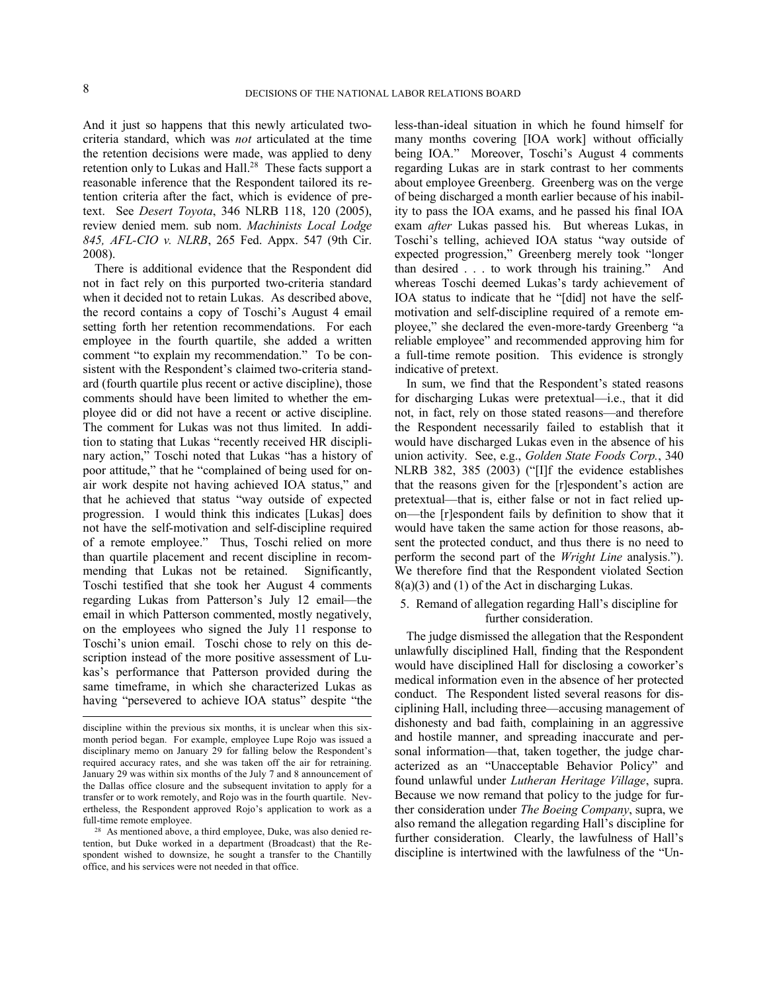And it just so happens that this newly articulated twocriteria standard, which was *not* articulated at the time the retention decisions were made, was applied to deny retention only to Lukas and Hall.<sup>28</sup> These facts support a reasonable inference that the Respondent tailored its retention criteria after the fact, which is evidence of pretext. See *Desert Toyota*, 346 NLRB 118, 120 (2005), review denied mem. sub nom. *Machinists Local Lodge 845, AFL-CIO v. NLRB*, 265 Fed. Appx. 547 (9th Cir. 2008).

There is additional evidence that the Respondent did not in fact rely on this purported two-criteria standard when it decided not to retain Lukas. As described above, the record contains a copy of Toschi's August 4 email setting forth her retention recommendations. For each employee in the fourth quartile, she added a written comment "to explain my recommendation." To be consistent with the Respondent's claimed two-criteria standard (fourth quartile plus recent or active discipline), those comments should have been limited to whether the employee did or did not have a recent or active discipline. The comment for Lukas was not thus limited. In addition to stating that Lukas "recently received HR disciplinary action," Toschi noted that Lukas "has a history of poor attitude," that he "complained of being used for onair work despite not having achieved IOA status," and that he achieved that status "way outside of expected progression. I would think this indicates [Lukas] does not have the self-motivation and self-discipline required of a remote employee." Thus, Toschi relied on more than quartile placement and recent discipline in recommending that Lukas not be retained. Significantly, Toschi testified that she took her August 4 comments regarding Lukas from Patterson's July 12 email—the email in which Patterson commented, mostly negatively, on the employees who signed the July 11 response to Toschi's union email. Toschi chose to rely on this description instead of the more positive assessment of Lukas's performance that Patterson provided during the same timeframe, in which she characterized Lukas as having "persevered to achieve IOA status" despite "the less-than-ideal situation in which he found himself for many months covering [IOA work] without officially being IOA." Moreover, Toschi's August 4 comments regarding Lukas are in stark contrast to her comments about employee Greenberg. Greenberg was on the verge of being discharged a month earlier because of his inability to pass the IOA exams, and he passed his final IOA exam *after* Lukas passed his. But whereas Lukas, in Toschi's telling, achieved IOA status "way outside of expected progression," Greenberg merely took "longer than desired . . . to work through his training." And whereas Toschi deemed Lukas's tardy achievement of IOA status to indicate that he "[did] not have the selfmotivation and self-discipline required of a remote employee," she declared the even-more-tardy Greenberg "a reliable employee" and recommended approving him for a full-time remote position. This evidence is strongly indicative of pretext.

In sum, we find that the Respondent's stated reasons for discharging Lukas were pretextual—i.e., that it did not, in fact, rely on those stated reasons—and therefore the Respondent necessarily failed to establish that it would have discharged Lukas even in the absence of his union activity. See, e.g., *Golden State Foods Corp.*, 340 NLRB 382, 385 (2003) ("[I]f the evidence establishes that the reasons given for the [r]espondent's action are pretextual—that is, either false or not in fact relied upon—the [r]espondent fails by definition to show that it would have taken the same action for those reasons, absent the protected conduct, and thus there is no need to perform the second part of the *Wright Line* analysis."). We therefore find that the Respondent violated Section 8(a)(3) and (1) of the Act in discharging Lukas.

5. Remand of allegation regarding Hall's discipline for further consideration.

The judge dismissed the allegation that the Respondent unlawfully disciplined Hall, finding that the Respondent would have disciplined Hall for disclosing a coworker's medical information even in the absence of her protected conduct. The Respondent listed several reasons for disciplining Hall, including three—accusing management of dishonesty and bad faith, complaining in an aggressive and hostile manner, and spreading inaccurate and personal information—that, taken together, the judge characterized as an "Unacceptable Behavior Policy" and found unlawful under *Lutheran Heritage Village*, supra. Because we now remand that policy to the judge for further consideration under *The Boeing Company*, supra, we also remand the allegation regarding Hall's discipline for further consideration. Clearly, the lawfulness of Hall's discipline is intertwined with the lawfulness of the "Un-

discipline within the previous six months, it is unclear when this sixmonth period began. For example, employee Lupe Rojo was issued a disciplinary memo on January 29 for falling below the Respondent's required accuracy rates, and she was taken off the air for retraining. January 29 was within six months of the July 7 and 8 announcement of the Dallas office closure and the subsequent invitation to apply for a transfer or to work remotely, and Rojo was in the fourth quartile. Nevertheless, the Respondent approved Rojo's application to work as a full-time remote employee.

<sup>28</sup> As mentioned above, a third employee, Duke, was also denied retention, but Duke worked in a department (Broadcast) that the Respondent wished to downsize, he sought a transfer to the Chantilly office, and his services were not needed in that office.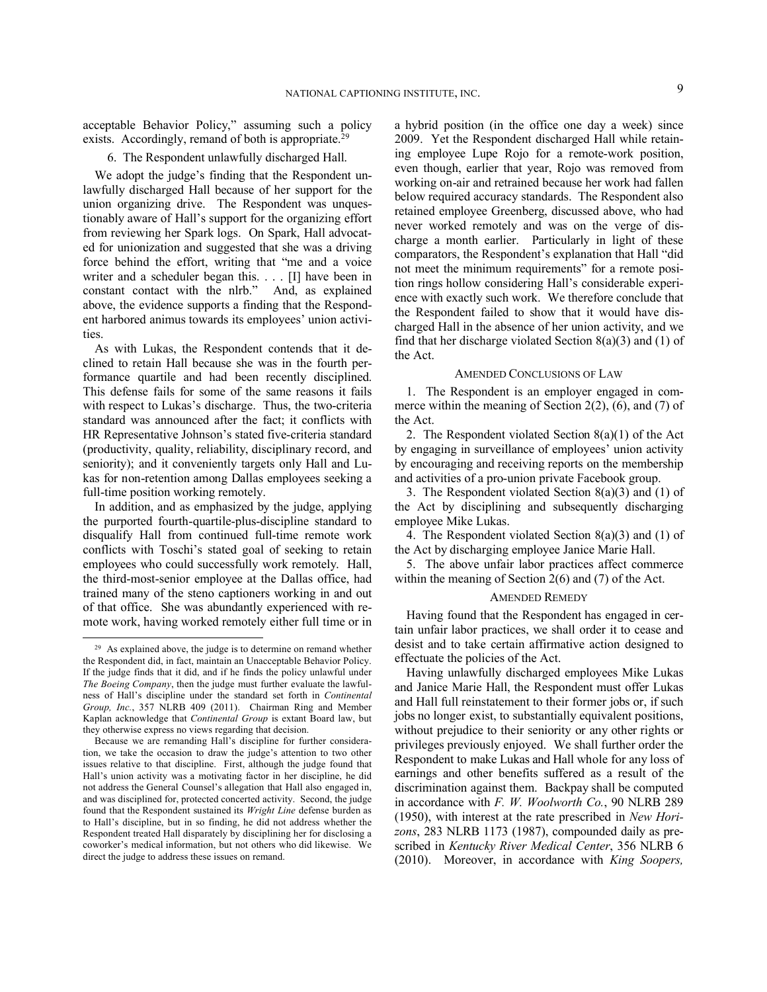acceptable Behavior Policy," assuming such a policy exists. Accordingly, remand of both is appropriate.<sup>29</sup>

# 6. The Respondent unlawfully discharged Hall.

We adopt the judge's finding that the Respondent unlawfully discharged Hall because of her support for the union organizing drive. The Respondent was unquestionably aware of Hall's support for the organizing effort from reviewing her Spark logs. On Spark, Hall advocated for unionization and suggested that she was a driving force behind the effort, writing that "me and a voice writer and a scheduler began this. . . . [I] have been in constant contact with the nlrb." And, as explained above, the evidence supports a finding that the Respondent harbored animus towards its employees' union activities.

As with Lukas, the Respondent contends that it declined to retain Hall because she was in the fourth performance quartile and had been recently disciplined. This defense fails for some of the same reasons it fails with respect to Lukas's discharge. Thus, the two-criteria standard was announced after the fact; it conflicts with HR Representative Johnson's stated five-criteria standard (productivity, quality, reliability, disciplinary record, and seniority); and it conveniently targets only Hall and Lukas for non-retention among Dallas employees seeking a full-time position working remotely.

In addition, and as emphasized by the judge, applying the purported fourth-quartile-plus-discipline standard to disqualify Hall from continued full-time remote work conflicts with Toschi's stated goal of seeking to retain employees who could successfully work remotely. Hall, the third-most-senior employee at the Dallas office, had trained many of the steno captioners working in and out of that office. She was abundantly experienced with remote work, having worked remotely either full time or in

-

a hybrid position (in the office one day a week) since 2009. Yet the Respondent discharged Hall while retaining employee Lupe Rojo for a remote-work position, even though, earlier that year, Rojo was removed from working on-air and retrained because her work had fallen below required accuracy standards. The Respondent also retained employee Greenberg, discussed above, who had never worked remotely and was on the verge of discharge a month earlier. Particularly in light of these comparators, the Respondent's explanation that Hall "did not meet the minimum requirements" for a remote position rings hollow considering Hall's considerable experience with exactly such work. We therefore conclude that the Respondent failed to show that it would have discharged Hall in the absence of her union activity, and we find that her discharge violated Section  $8(a)(3)$  and (1) of the Act.

## AMENDED CONCLUSIONS OF LAW

1. The Respondent is an employer engaged in commerce within the meaning of Section 2(2), (6), and (7) of the Act.

2. The Respondent violated Section 8(a)(1) of the Act by engaging in surveillance of employees' union activity by encouraging and receiving reports on the membership and activities of a pro-union private Facebook group.

3. The Respondent violated Section 8(a)(3) and (1) of the Act by disciplining and subsequently discharging employee Mike Lukas.

4. The Respondent violated Section 8(a)(3) and (1) of the Act by discharging employee Janice Marie Hall.

5. The above unfair labor practices affect commerce within the meaning of Section 2(6) and (7) of the Act.

# AMENDED REMEDY

Having found that the Respondent has engaged in certain unfair labor practices, we shall order it to cease and desist and to take certain affirmative action designed to effectuate the policies of the Act.

Having unlawfully discharged employees Mike Lukas and Janice Marie Hall, the Respondent must offer Lukas and Hall full reinstatement to their former jobs or, if such jobs no longer exist, to substantially equivalent positions, without prejudice to their seniority or any other rights or privileges previously enjoyed. We shall further order the Respondent to make Lukas and Hall whole for any loss of earnings and other benefits suffered as a result of the discrimination against them. Backpay shall be computed in accordance with *F. W. Woolworth Co.*, 90 NLRB 289 (1950), with interest at the rate prescribed in *New Horizons*, 283 NLRB 1173 (1987), compounded daily as prescribed in *Kentucky River Medical Center*, 356 NLRB 6 (2010). Moreover, in accordance with *King Soopers,* 

<sup>29</sup> As explained above, the judge is to determine on remand whether the Respondent did, in fact, maintain an Unacceptable Behavior Policy. If the judge finds that it did, and if he finds the policy unlawful under *The Boeing Company*, then the judge must further evaluate the lawfulness of Hall's discipline under the standard set forth in *Continental Group, Inc.*, 357 NLRB 409 (2011). Chairman Ring and Member Kaplan acknowledge that *Continental Group* is extant Board law, but they otherwise express no views regarding that decision.

Because we are remanding Hall's discipline for further consideration, we take the occasion to draw the judge's attention to two other issues relative to that discipline. First, although the judge found that Hall's union activity was a motivating factor in her discipline, he did not address the General Counsel's allegation that Hall also engaged in, and was disciplined for, protected concerted activity. Second, the judge found that the Respondent sustained its *Wright Line* defense burden as to Hall's discipline, but in so finding, he did not address whether the Respondent treated Hall disparately by disciplining her for disclosing a coworker's medical information, but not others who did likewise. We direct the judge to address these issues on remand.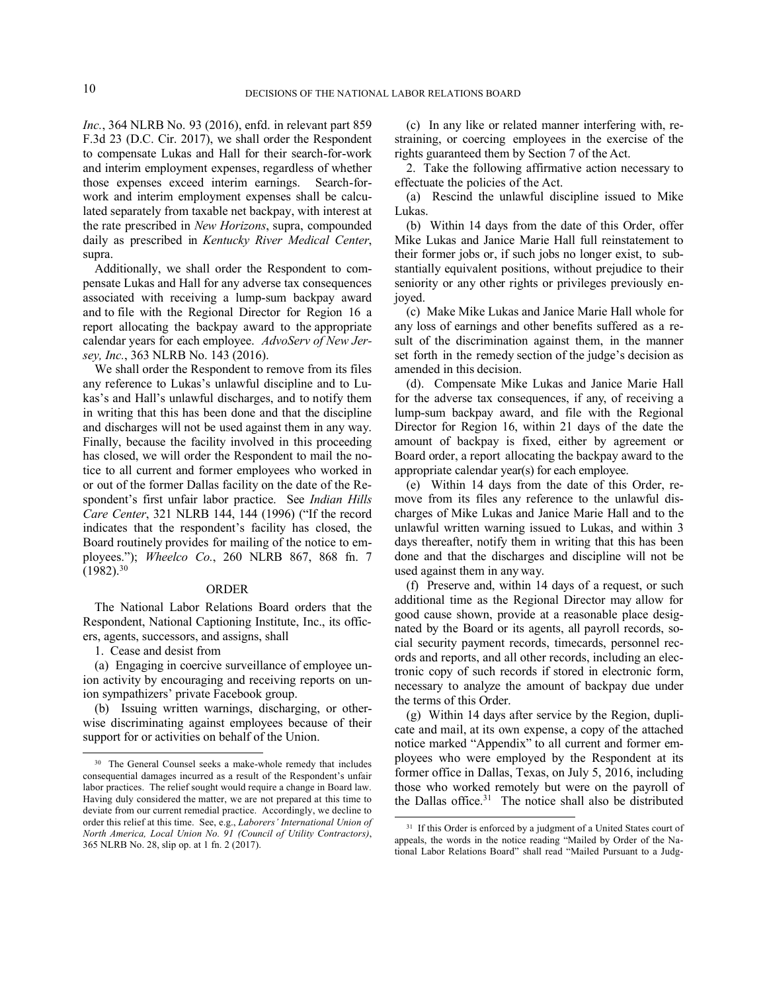*Inc.*, 364 NLRB No. 93 (2016), enfd. in relevant part 859 F.3d 23 (D.C. Cir. 2017), we shall order the Respondent to compensate Lukas and Hall for their search-for-work and interim employment expenses, regardless of whether those expenses exceed interim earnings. Search-forwork and interim employment expenses shall be calculated separately from taxable net backpay, with interest at the rate prescribed in *New Horizons*, supra, compounded daily as prescribed in *Kentucky River Medical Center*, supra.

Additionally, we shall order the Respondent to compensate Lukas and Hall for any adverse tax consequences associated with receiving a lump-sum backpay award and to file with the Regional Director for Region 16 a report allocating the backpay award to the appropriate calendar years for each employee. *AdvoServ of New Jersey, Inc.*, 363 NLRB No. 143 (2016).

We shall order the Respondent to remove from its files any reference to Lukas's unlawful discipline and to Lukas's and Hall's unlawful discharges, and to notify them in writing that this has been done and that the discipline and discharges will not be used against them in any way. Finally, because the facility involved in this proceeding has closed, we will order the Respondent to mail the notice to all current and former employees who worked in or out of the former Dallas facility on the date of the Respondent's first unfair labor practice. See *Indian Hills Care Center*, 321 NLRB 144, 144 (1996) ("If the record indicates that the respondent's facility has closed, the Board routinely provides for mailing of the notice to employees."); *Wheelco Co.*, 260 NLRB 867, 868 fn. 7  $(1982).^{30}$ 

### ORDER

The National Labor Relations Board orders that the Respondent, National Captioning Institute, Inc., its officers, agents, successors, and assigns, shall

1. Cease and desist from

-

(a) Engaging in coercive surveillance of employee union activity by encouraging and receiving reports on union sympathizers' private Facebook group.

(b) Issuing written warnings, discharging, or otherwise discriminating against employees because of their support for or activities on behalf of the Union.

(c) In any like or related manner interfering with, restraining, or coercing employees in the exercise of the rights guaranteed them by Section 7 of the Act.

2. Take the following affirmative action necessary to effectuate the policies of the Act.

(a) Rescind the unlawful discipline issued to Mike Lukas.

(b) Within 14 days from the date of this Order, offer Mike Lukas and Janice Marie Hall full reinstatement to their former jobs or, if such jobs no longer exist, to substantially equivalent positions, without prejudice to their seniority or any other rights or privileges previously enjoyed.

(c) Make Mike Lukas and Janice Marie Hall whole for any loss of earnings and other benefits suffered as a result of the discrimination against them, in the manner set forth in the remedy section of the judge's decision as amended in this decision.

(d). Compensate Mike Lukas and Janice Marie Hall for the adverse tax consequences, if any, of receiving a lump-sum backpay award, and file with the Regional Director for Region 16, within 21 days of the date the amount of backpay is fixed, either by agreement or Board order, a report allocating the backpay award to the appropriate calendar year(s) for each employee.

(e) Within 14 days from the date of this Order, remove from its files any reference to the unlawful discharges of Mike Lukas and Janice Marie Hall and to the unlawful written warning issued to Lukas, and within 3 days thereafter, notify them in writing that this has been done and that the discharges and discipline will not be used against them in any way.

(f) Preserve and, within 14 days of a request, or such additional time as the Regional Director may allow for good cause shown, provide at a reasonable place designated by the Board or its agents, all payroll records, social security payment records, timecards, personnel records and reports, and all other records, including an electronic copy of such records if stored in electronic form, necessary to analyze the amount of backpay due under the terms of this Order.

(g) Within 14 days after service by the Region, duplicate and mail, at its own expense, a copy of the attached notice marked "Appendix" to all current and former employees who were employed by the Respondent at its former office in Dallas, Texas, on July 5, 2016, including those who worked remotely but were on the payroll of the Dallas office.<sup>31</sup> The notice shall also be distributed

l

<sup>&</sup>lt;sup>30</sup> The General Counsel seeks a make-whole remedy that includes consequential damages incurred as a result of the Respondent's unfair labor practices. The relief sought would require a change in Board law. Having duly considered the matter, we are not prepared at this time to deviate from our current remedial practice. Accordingly, we decline to order this relief at this time. See, e.g., *Laborers' International Union of North America, Local Union No. 91 (Council of Utility Contractors)*, 365 NLRB No. 28, slip op. at 1 fn. 2 (2017).

<sup>&</sup>lt;sup>31</sup> If this Order is enforced by a judgment of a United States court of appeals, the words in the notice reading "Mailed by Order of the National Labor Relations Board" shall read "Mailed Pursuant to a Judg-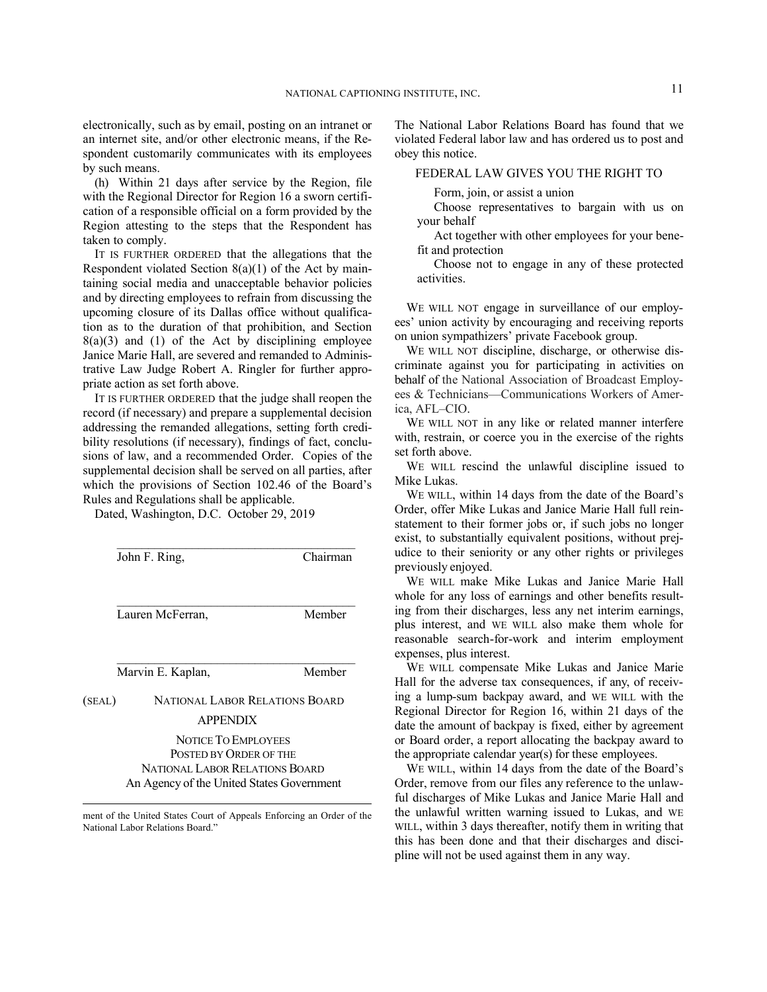electronically, such as by email, posting on an intranet or an internet site, and/or other electronic means, if the Respondent customarily communicates with its employees by such means.

(h) Within 21 days after service by the Region, file with the Regional Director for Region 16 a sworn certification of a responsible official on a form provided by the Region attesting to the steps that the Respondent has taken to comply.

IT IS FURTHER ORDERED that the allegations that the Respondent violated Section  $8(a)(1)$  of the Act by maintaining social media and unacceptable behavior policies and by directing employees to refrain from discussing the upcoming closure of its Dallas office without qualification as to the duration of that prohibition, and Section  $8(a)(3)$  and  $(1)$  of the Act by disciplining employee Janice Marie Hall, are severed and remanded to Administrative Law Judge Robert A. Ringler for further appropriate action as set forth above.

IT IS FURTHER ORDERED that the judge shall reopen the record (if necessary) and prepare a supplemental decision addressing the remanded allegations, setting forth credibility resolutions (if necessary), findings of fact, conclusions of law, and a recommended Order. Copies of the supplemental decision shall be served on all parties, after which the provisions of Section 102.46 of the Board's Rules and Regulations shall be applicable.

Dated, Washington, D.C. October 29, 2019

| John F. Ring,<br>Lauren McFerran, |                                                                                                                                     | Chairman<br>Member |  |
|-----------------------------------|-------------------------------------------------------------------------------------------------------------------------------------|--------------------|--|
|                                   |                                                                                                                                     |                    |  |
| (SEAL)                            | NATIONAL LABOR RELATIONS BOARD<br><b>APPENDIX</b>                                                                                   |                    |  |
|                                   | NOTICE TO EMPLOYEES<br>POSTED BY ORDER OF THE<br><b>NATIONAL LABOR RELATIONS BOARD</b><br>An Agency of the United States Government |                    |  |

l ment of the United States Court of Appeals Enforcing an Order of the National Labor Relations Board."

The National Labor Relations Board has found that we violated Federal labor law and has ordered us to post and obey this notice.

# FEDERAL LAW GIVES YOU THE RIGHT TO

Form, join, or assist a union

Choose representatives to bargain with us on your behalf

Act together with other employees for your benefit and protection

Choose not to engage in any of these protected activities.

WE WILL NOT engage in surveillance of our employees' union activity by encouraging and receiving reports on union sympathizers' private Facebook group.

WE WILL NOT discipline, discharge, or otherwise discriminate against you for participating in activities on behalf of the National Association of Broadcast Employees & Technicians—Communications Workers of America, AFL–CIO.

WE WILL NOT in any like or related manner interfere with, restrain, or coerce you in the exercise of the rights set forth above.

WE WILL rescind the unlawful discipline issued to Mike Lukas.

WE WILL, within 14 days from the date of the Board's Order, offer Mike Lukas and Janice Marie Hall full reinstatement to their former jobs or, if such jobs no longer exist, to substantially equivalent positions, without prejudice to their seniority or any other rights or privileges previously enjoyed.

WE WILL make Mike Lukas and Janice Marie Hall whole for any loss of earnings and other benefits resulting from their discharges, less any net interim earnings, plus interest, and WE WILL also make them whole for reasonable search-for-work and interim employment expenses, plus interest.

WE WILL compensate Mike Lukas and Janice Marie Hall for the adverse tax consequences, if any, of receiving a lump-sum backpay award, and WE WILL with the Regional Director for Region 16, within 21 days of the date the amount of backpay is fixed, either by agreement or Board order, a report allocating the backpay award to the appropriate calendar year(s) for these employees.

WE WILL, within 14 days from the date of the Board's Order, remove from our files any reference to the unlawful discharges of Mike Lukas and Janice Marie Hall and the unlawful written warning issued to Lukas, and WE WILL, within 3 days thereafter, notify them in writing that this has been done and that their discharges and discipline will not be used against them in any way.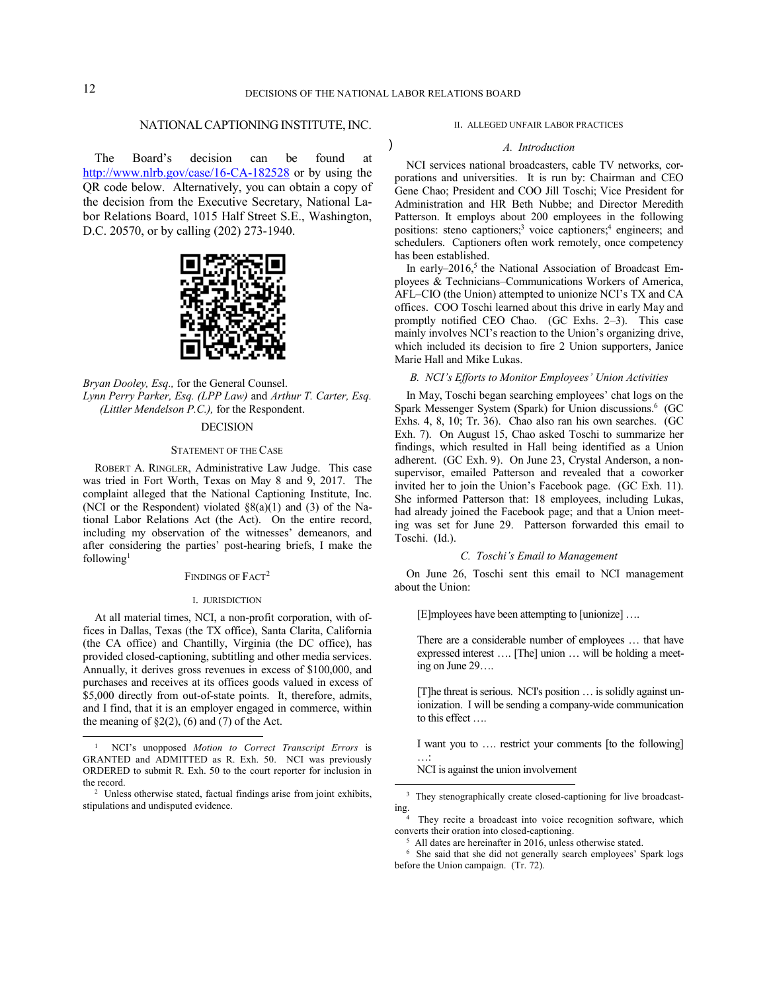)

# NATIONAL CAPTIONING INSTITUTE, INC.

The Board's decision can be found at http://www.nlrb.gov/case/16-CA-182528 or by using the QR code below. Alternatively, you can obtain a copy of the decision from the Executive Secretary, National Labor Relations Board, 1015 Half Street S.E., Washington, D.C. 20570, or by calling (202) 273-1940.



## *Bryan Dooley, Esq.,* for the General Counsel. *Lynn Perry Parker, Esq. (LPP Law)* and *Arthur T. Carter, Esq. (Littler Mendelson P.C.),* for the Respondent.

# DECISION

#### STATEMENT OF THE CASE

ROBERT A. RINGLER, Administrative Law Judge. This case was tried in Fort Worth, Texas on May 8 and 9, 2017. The complaint alleged that the National Captioning Institute, Inc. (NCI or the Respondent) violated §8(a)(1) and (3) of the National Labor Relations Act (the Act). On the entire record, including my observation of the witnesses' demeanors, and after considering the parties' post-hearing briefs, I make the following<sup>1</sup>

### FINDINGS OF FACT<sup>2</sup>

#### I. JURISDICTION

At all material times, NCI, a non-profit corporation, with offices in Dallas, Texas (the TX office), Santa Clarita, California (the CA office) and Chantilly, Virginia (the DC office), has provided closed-captioning, subtitling and other media services. Annually, it derives gross revenues in excess of \$100,000, and purchases and receives at its offices goods valued in excess of \$5,000 directly from out-of-state points. It, therefore, admits, and I find, that it is an employer engaged in commerce, within the meaning of  $\S2(2)$ , (6) and (7) of the Act.

#### II. ALLEGED UNFAIR LABOR PRACTICES

#### *A. Introduction*

NCI services national broadcasters, cable TV networks, corporations and universities. It is run by: Chairman and CEO Gene Chao; President and COO Jill Toschi; Vice President for Administration and HR Beth Nubbe; and Director Meredith Patterson. It employs about 200 employees in the following positions: steno captioners;<sup>3</sup> voice captioners;<sup>4</sup> engineers; and schedulers. Captioners often work remotely, once competency has been established.

In early-2016,<sup>5</sup> the National Association of Broadcast Employees & Technicians–Communications Workers of America, AFL–CIO (the Union) attempted to unionize NCI's TX and CA offices. COO Toschi learned about this drive in early May and promptly notified CEO Chao. (GC Exhs. 2–3). This case mainly involves NCI's reaction to the Union's organizing drive, which included its decision to fire 2 Union supporters, Janice Marie Hall and Mike Lukas.

## *B. NCI's Efforts to Monitor Employees' Union Activities*

In May, Toschi began searching employees' chat logs on the Spark Messenger System (Spark) for Union discussions.<sup>6</sup> (GC Exhs. 4, 8, 10; Tr. 36). Chao also ran his own searches. (GC Exh. 7). On August 15, Chao asked Toschi to summarize her findings, which resulted in Hall being identified as a Union adherent. (GC Exh. 9). On June 23, Crystal Anderson, a nonsupervisor, emailed Patterson and revealed that a coworker invited her to join the Union's Facebook page. (GC Exh. 11). She informed Patterson that: 18 employees, including Lukas, had already joined the Facebook page; and that a Union meeting was set for June 29. Patterson forwarded this email to Toschi. (Id.).

# *C. Toschi's Email to Management*

On June 26, Toschi sent this email to NCI management about the Union:

[E]mployees have been attempting to [unionize] ….

There are a considerable number of employees … that have expressed interest …. [The] union … will be holding a meeting on June 29….

[T]he threat is serious. NCI's position … is solidly against unionization. I will be sending a company-wide communication to this effect ….

I want you to …. restrict your comments [to the following] …:

NCI is against the union involvement

-

<sup>1</sup> NCI's unopposed *Motion to Correct Transcript Errors* is GRANTED and ADMITTED as R. Exh. 50. NCI was previously ORDERED to submit R. Exh. 50 to the court reporter for inclusion in the record.

<sup>2</sup> Unless otherwise stated, factual findings arise from joint exhibits, stipulations and undisputed evidence.

<sup>&</sup>lt;sup>3</sup> They stenographically create closed-captioning for live broadcasting.

<sup>4</sup> They recite a broadcast into voice recognition software, which converts their oration into closed-captioning.

<sup>&</sup>lt;sup>5</sup> All dates are hereinafter in 2016, unless otherwise stated.

<sup>6</sup> She said that she did not generally search employees' Spark logs before the Union campaign. (Tr. 72).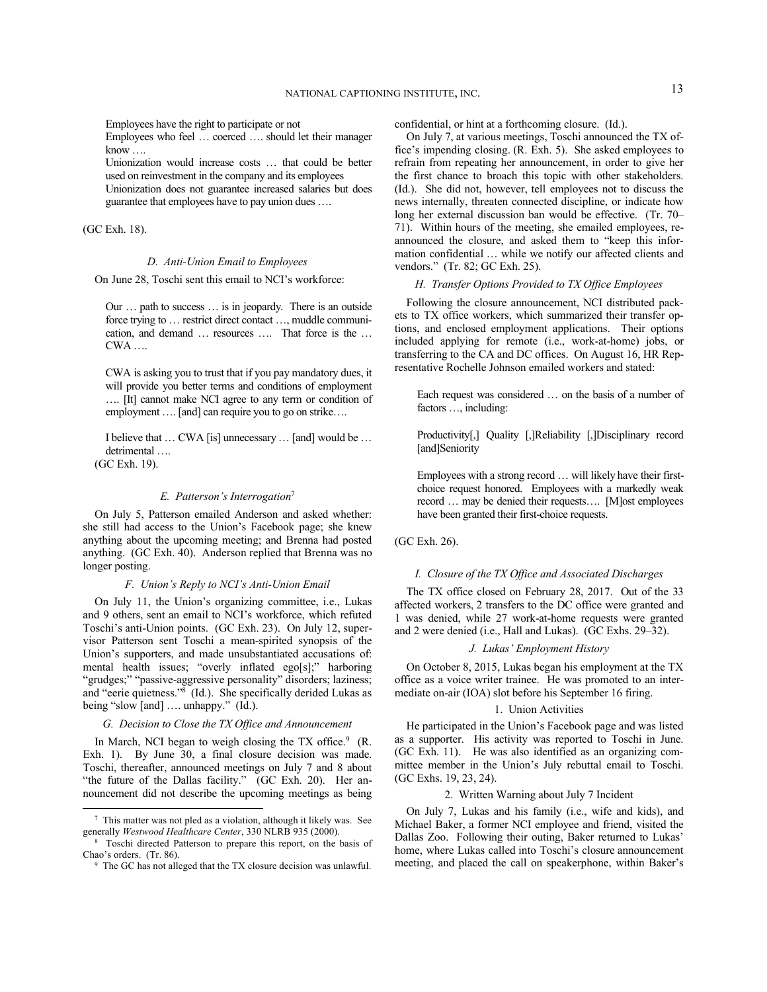Employees have the right to participate or not

Employees who feel … coerced …. should let their manager know ….

Unionization would increase costs … that could be better used on reinvestment in the company and its employees Unionization does not guarantee increased salaries but does guarantee that employees have to pay union dues ….

(GC Exh. 18).

### *D. Anti-Union Email to Employees*

On June 28, Toschi sent this email to NCI's workforce:

Our … path to success … is in jeopardy. There is an outside force trying to … restrict direct contact …, muddle communication, and demand … resources …. That force is the … CWA ….

CWA is asking you to trust that if you pay mandatory dues, it will provide you better terms and conditions of employment …. [It] cannot make NCI agree to any term or condition of employment …. [and] can require you to go on strike….

I believe that … CWA [is] unnecessary … [and] would be … detrimental ….

(GC Exh. 19).

-

# *E. Patterson's Interrogation*<sup>7</sup>

On July 5, Patterson emailed Anderson and asked whether: she still had access to the Union's Facebook page; she knew anything about the upcoming meeting; and Brenna had posted anything. (GC Exh. 40). Anderson replied that Brenna was no longer posting.

#### *F. Union's Reply to NCI's Anti-Union Email*

On July 11, the Union's organizing committee, i.e., Lukas and 9 others, sent an email to NCI's workforce, which refuted Toschi's anti-Union points. (GC Exh. 23). On July 12, supervisor Patterson sent Toschi a mean-spirited synopsis of the Union's supporters, and made unsubstantiated accusations of: mental health issues; "overly inflated ego[s];" harboring "grudges;" "passive-aggressive personality" disorders; laziness; and "eerie quietness."<sup>8</sup> (Id.). She specifically derided Lukas as being "slow [and] .... unhappy." (Id.).

## *G. Decision to Close the TX Office and Announcement*

In March, NCI began to weigh closing the TX office.<sup>9</sup> (R. Exh. 1). By June 30, a final closure decision was made. Toschi, thereafter, announced meetings on July 7 and 8 about "the future of the Dallas facility." (GC Exh. 20). Her announcement did not describe the upcoming meetings as being

confidential, or hint at a forthcoming closure. (Id.).

On July 7, at various meetings, Toschi announced the TX office's impending closing. (R. Exh. 5). She asked employees to refrain from repeating her announcement, in order to give her the first chance to broach this topic with other stakeholders. (Id.). She did not, however, tell employees not to discuss the news internally, threaten connected discipline, or indicate how long her external discussion ban would be effective. (Tr. 70– 71). Within hours of the meeting, she emailed employees, reannounced the closure, and asked them to "keep this information confidential … while we notify our affected clients and vendors." (Tr. 82; GC Exh. 25).

## *H. Transfer Options Provided to TX Office Employees*

Following the closure announcement, NCI distributed packets to TX office workers, which summarized their transfer options, and enclosed employment applications. Their options included applying for remote (i.e., work-at-home) jobs, or transferring to the CA and DC offices. On August 16, HR Representative Rochelle Johnson emailed workers and stated:

Each request was considered … on the basis of a number of factors …, including:

Productivity[,] Quality [,]Reliability [,]Disciplinary record [and]Seniority

Employees with a strong record … will likely have their firstchoice request honored. Employees with a markedly weak record … may be denied their requests…. [M]ost employees have been granted their first-choice requests.

### (GC Exh. 26).

#### *I. Closure of the TX Office and Associated Discharges*

The TX office closed on February 28, 2017. Out of the 33 affected workers, 2 transfers to the DC office were granted and 1 was denied, while 27 work-at-home requests were granted and 2 were denied (i.e., Hall and Lukas). (GC Exhs. 29–32).

### *J. Lukas' Employment History*

On October 8, 2015, Lukas began his employment at the TX office as a voice writer trainee. He was promoted to an intermediate on-air (IOA) slot before his September 16 firing.

#### 1. Union Activities

He participated in the Union's Facebook page and was listed as a supporter. His activity was reported to Toschi in June. (GC Exh. 11). He was also identified as an organizing committee member in the Union's July rebuttal email to Toschi. (GC Exhs. 19, 23, 24).

# 2. Written Warning about July 7 Incident

On July 7, Lukas and his family (i.e., wife and kids), and Michael Baker, a former NCI employee and friend, visited the Dallas Zoo. Following their outing, Baker returned to Lukas' home, where Lukas called into Toschi's closure announcement meeting, and placed the call on speakerphone, within Baker's

<sup>7</sup> This matter was not pled as a violation, although it likely was. See generally *Westwood Healthcare Center*, 330 NLRB 935 (2000).

<sup>8</sup> Toschi directed Patterson to prepare this report, on the basis of Chao's orders. (Tr. 86).

<sup>&</sup>lt;sup>9</sup> The GC has not alleged that the TX closure decision was unlawful.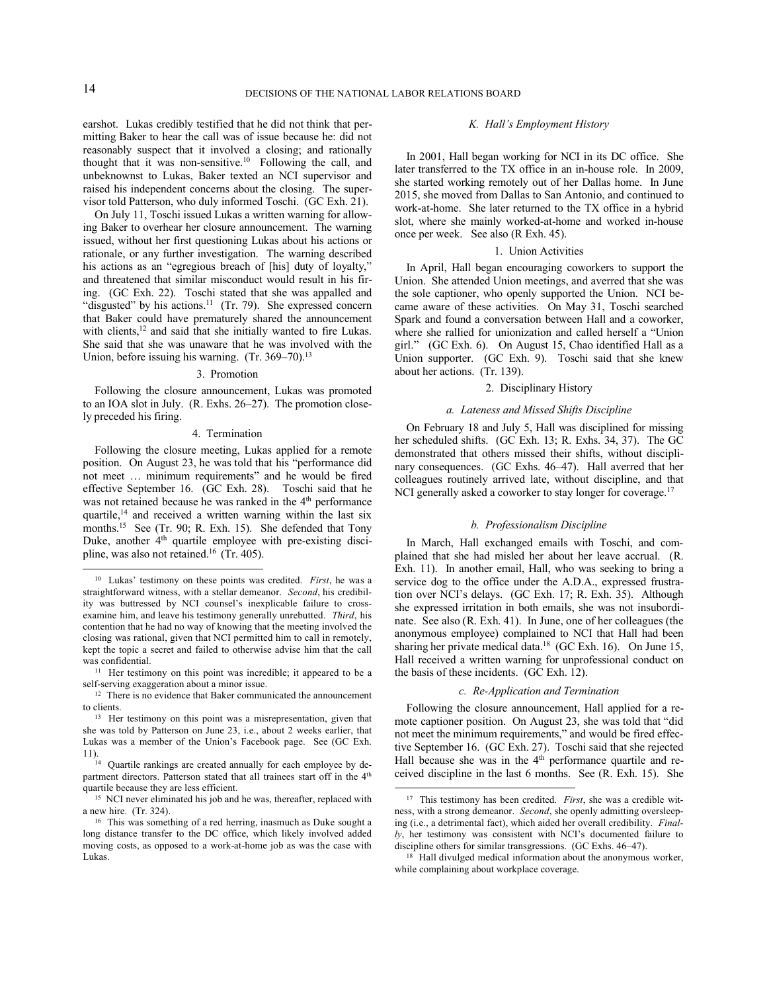earshot. Lukas credibly testified that he did not think that permitting Baker to hear the call was of issue because he: did not reasonably suspect that it involved a closing; and rationally thought that it was non-sensitive.<sup>10</sup> Following the call, and unbeknownst to Lukas, Baker texted an NCI supervisor and raised his independent concerns about the closing. The supervisor told Patterson, who duly informed Toschi. (GC Exh. 21).

On July 11, Toschi issued Lukas a written warning for allowing Baker to overhear her closure announcement. The warning issued, without her first questioning Lukas about his actions or rationale, or any further investigation. The warning described his actions as an "egregious breach of [his] duty of loyalty," and threatened that similar misconduct would result in his firing. (GC Exh. 22). Toschi stated that she was appalled and "disgusted" by his actions. $11$  (Tr. 79). She expressed concern that Baker could have prematurely shared the announcement with clients,<sup>12</sup> and said that she initially wanted to fire Lukas. She said that she was unaware that he was involved with the Union, before issuing his warning.  $(Tr. 369-70)^{13}$ 

#### 3. Promotion

Following the closure announcement, Lukas was promoted to an IOA slot in July. (R. Exhs. 26–27). The promotion closely preceded his firing.

### 4. Termination

Following the closure meeting, Lukas applied for a remote position. On August 23, he was told that his "performance did not meet … minimum requirements" and he would be fired effective September 16. (GC Exh. 28). Toschi said that he was not retained because he was ranked in the 4<sup>th</sup> performance quartile,<sup>14</sup> and received a written warning within the last six months.<sup>15</sup> See (Tr. 90; R. Exh. 15). She defended that Tony Duke, another 4<sup>th</sup> quartile employee with pre-existing discipline, was also not retained.<sup>16</sup> (Tr. 405).

#### *K. Hall's Employment History*

In 2001, Hall began working for NCI in its DC office. She later transferred to the TX office in an in-house role. In 2009, she started working remotely out of her Dallas home. In June 2015, she moved from Dallas to San Antonio, and continued to work-at-home. She later returned to the TX office in a hybrid slot, where she mainly worked-at-home and worked in-house once per week. See also (R Exh. 45).

#### 1. Union Activities

In April, Hall began encouraging coworkers to support the Union. She attended Union meetings, and averred that she was the sole captioner, who openly supported the Union. NCI became aware of these activities. On May 31, Toschi searched Spark and found a conversation between Hall and a coworker, where she rallied for unionization and called herself a "Union girl." (GC Exh. 6). On August 15, Chao identified Hall as a Union supporter. (GC Exh. 9). Toschi said that she knew about her actions. (Tr. 139).

### 2. Disciplinary History

#### *a. Lateness and Missed Shifts Discipline*

On February 18 and July 5, Hall was disciplined for missing her scheduled shifts. (GC Exh. 13; R. Exhs. 34, 37). The GC demonstrated that others missed their shifts, without disciplinary consequences. (GC Exhs. 46–47). Hall averred that her colleagues routinely arrived late, without discipline, and that NCI generally asked a coworker to stay longer for coverage.<sup>17</sup>

#### *b. Professionalism Discipline*

In March, Hall exchanged emails with Toschi, and complained that she had misled her about her leave accrual. (R. Exh. 11). In another email, Hall, who was seeking to bring a service dog to the office under the A.D.A., expressed frustration over NCI's delays. (GC Exh. 17; R. Exh. 35). Although she expressed irritation in both emails, she was not insubordinate. See also (R. Exh. 41). In June, one of her colleagues (the anonymous employee) complained to NCI that Hall had been sharing her private medical data.<sup>18</sup> (GC Exh. 16). On June 15, Hall received a written warning for unprofessional conduct on the basis of these incidents. (GC Exh. 12).

#### *c. Re-Application and Termination*

Following the closure announcement, Hall applied for a remote captioner position. On August 23, she was told that "did not meet the minimum requirements," and would be fired effective September 16. (GC Exh. 27). Toschi said that she rejected Hall because she was in the 4<sup>th</sup> performance quartile and received discipline in the last 6 months. See (R. Exh. 15). She

l

<sup>10</sup> Lukas' testimony on these points was credited. *First*, he was a straightforward witness, with a stellar demeanor. *Second*, his credibility was buttressed by NCI counsel's inexplicable failure to crossexamine him, and leave his testimony generally unrebutted. *Third*, his contention that he had no way of knowing that the meeting involved the closing was rational, given that NCI permitted him to call in remotely, kept the topic a secret and failed to otherwise advise him that the call was confidential.

<sup>&</sup>lt;sup>11</sup> Her testimony on this point was incredible; it appeared to be a self-serving exaggeration about a minor issue.

<sup>&</sup>lt;sup>12</sup> There is no evidence that Baker communicated the announcement to clients.

<sup>13</sup> Her testimony on this point was a misrepresentation, given that she was told by Patterson on June 23, i.e., about 2 weeks earlier, that Lukas was a member of the Union's Facebook page. See (GC Exh. 11).

 $14$  Quartile rankings are created annually for each employee by department directors. Patterson stated that all trainees start off in the 4<sup>th</sup> quartile because they are less efficient.

<sup>&</sup>lt;sup>15</sup> NCI never eliminated his job and he was, thereafter, replaced with a new hire. (Tr. 324).

<sup>16</sup> This was something of a red herring, inasmuch as Duke sought a long distance transfer to the DC office, which likely involved added moving costs, as opposed to a work-at-home job as was the case with Lukas.

<sup>&</sup>lt;sup>17</sup> This testimony has been credited. *First*, she was a credible witness, with a strong demeanor. *Second*, she openly admitting oversleeping (i.e., a detrimental fact), which aided her overall credibility. *Finally*, her testimony was consistent with NCI's documented failure to discipline others for similar transgressions. (GC Exhs. 46–47).

<sup>18</sup> Hall divulged medical information about the anonymous worker, while complaining about workplace coverage.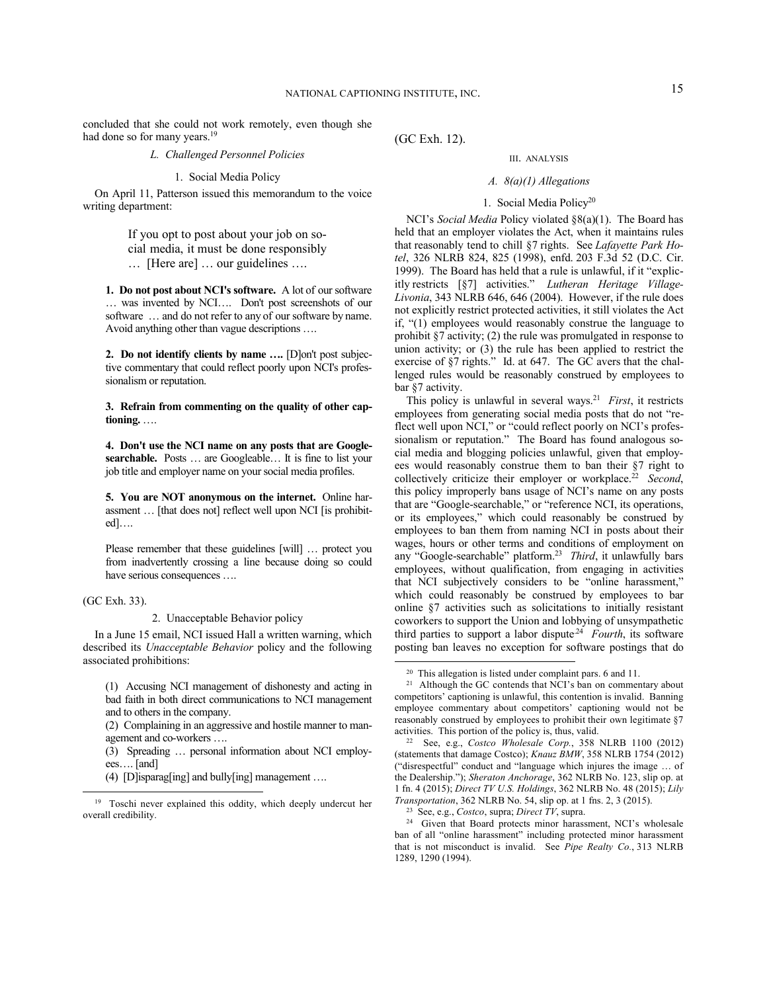concluded that she could not work remotely, even though she had done so for many years.<sup>19</sup>

# *L. Challenged Personnel Policies*

#### 1. Social Media Policy

On April 11, Patterson issued this memorandum to the voice writing department:

> If you opt to post about your job on social media, it must be done responsibly

… [Here are] … our guidelines ….

**1. Do not post about NCI's software.** A lot of our software … was invented by NCI…. Don't post screenshots of our software … and do not refer to any of our software by name. Avoid anything other than vague descriptions ….

**2. Do not identify clients by name ….** [D]on't post subjective commentary that could reflect poorly upon NCI's professionalism or reputation.

**3. Refrain from commenting on the quality of other captioning.** ….

**4. Don't use the NCI name on any posts that are Googlesearchable.** Posts … are Googleable… It is fine to list your job title and employer name on your social media profiles.

**5. You are NOT anonymous on the internet.** Online harassment … [that does not] reflect well upon NCI [is prohibited]….

Please remember that these guidelines [will] … protect you from inadvertently crossing a line because doing so could have serious consequences ….

(GC Exh. 33).

-

2. Unacceptable Behavior policy

In a June 15 email, NCI issued Hall a written warning, which described its *Unacceptable Behavior* policy and the following associated prohibitions:

(1) Accusing NCI management of dishonesty and acting in bad faith in both direct communications to NCI management and to others in the company.

(2) Complaining in an aggressive and hostile manner to management and co-workers ….

(3) Spreading … personal information about NCI employees…. [and]

(4) [D]isparag[ing] and bully[ing] management ….

(GC Exh. 12).

#### III. ANALYSIS

### *A. 8(a)(1) Allegations*

# 1. Social Media Policy<sup>20</sup>

NCI's *Social Media* Policy violated §8(a)(1). The Board has held that an employer violates the Act, when it maintains rules that reasonably tend to chill §7 rights. See *Lafayette Park Hotel*, 326 NLRB 824, 825 (1998), enfd. 203 F.3d 52 (D.C. Cir. 1999). The Board has held that a rule is unlawful, if it "explicitly restricts [§7] activities." *Lutheran Heritage Village-Livonia*, 343 NLRB 646, 646 (2004). However, if the rule does not explicitly restrict protected activities, it still violates the Act if, "(1) employees would reasonably construe the language to prohibit §7 activity; (2) the rule was promulgated in response to union activity; or (3) the rule has been applied to restrict the exercise of §7 rights." Id. at 647. The GC avers that the challenged rules would be reasonably construed by employees to bar §7 activity.

This policy is unlawful in several ways.<sup>21</sup> *First*, it restricts employees from generating social media posts that do not "reflect well upon NCI," or "could reflect poorly on NCI's professionalism or reputation." The Board has found analogous social media and blogging policies unlawful, given that employees would reasonably construe them to ban their §7 right to collectively criticize their employer or workplace.<sup>22</sup> *Second*, this policy improperly bans usage of NCI's name on any posts that are "Google-searchable," or "reference NCI, its operations, or its employees," which could reasonably be construed by employees to ban them from naming NCI in posts about their wages, hours or other terms and conditions of employment on any "Google-searchable" platform.<sup>23</sup> *Third*, it unlawfully bars employees, without qualification, from engaging in activities that NCI subjectively considers to be "online harassment," which could reasonably be construed by employees to bar online §7 activities such as solicitations to initially resistant coworkers to support the Union and lobbying of unsympathetic third parties to support a labor dispute<sup>24</sup> Fourth, its software posting ban leaves no exception for software postings that do

<sup>19</sup> Toschi never explained this oddity, which deeply undercut her overall credibility.

<sup>20</sup> This allegation is listed under complaint pars. 6 and 11.

<sup>&</sup>lt;sup>21</sup> Although the GC contends that NCI's ban on commentary about competitors' captioning is unlawful, this contention is invalid. Banning employee commentary about competitors' captioning would not be reasonably construed by employees to prohibit their own legitimate §7 activities. This portion of the policy is, thus, valid.

<sup>22</sup> See, e.g., *Costco Wholesale Corp.*, 358 NLRB 1100 (2012) (statements that damage Costco); *Knauz BMW*, 358 NLRB 1754 (2012) ("disrespectful" conduct and "language which injures the image … of the Dealership."); *Sheraton Anchorage*, 362 NLRB No. 123, slip op. at 1 fn. 4 (2015); *Direct TV U.S. Holdings*, 362 NLRB No. 48 (2015); *Lily Transportation*, 362 NLRB No. 54, slip op. at 1 fns. 2, 3 (2015).

<sup>23</sup> See, e.g., *Costco*, supra; *Direct TV*, supra.

<sup>&</sup>lt;sup>24</sup> Given that Board protects minor harassment, NCI's wholesale ban of all "online harassment" including protected minor harassment that is not misconduct is invalid. See *Pipe Realty Co.*, 313 NLRB 1289, 1290 (1994).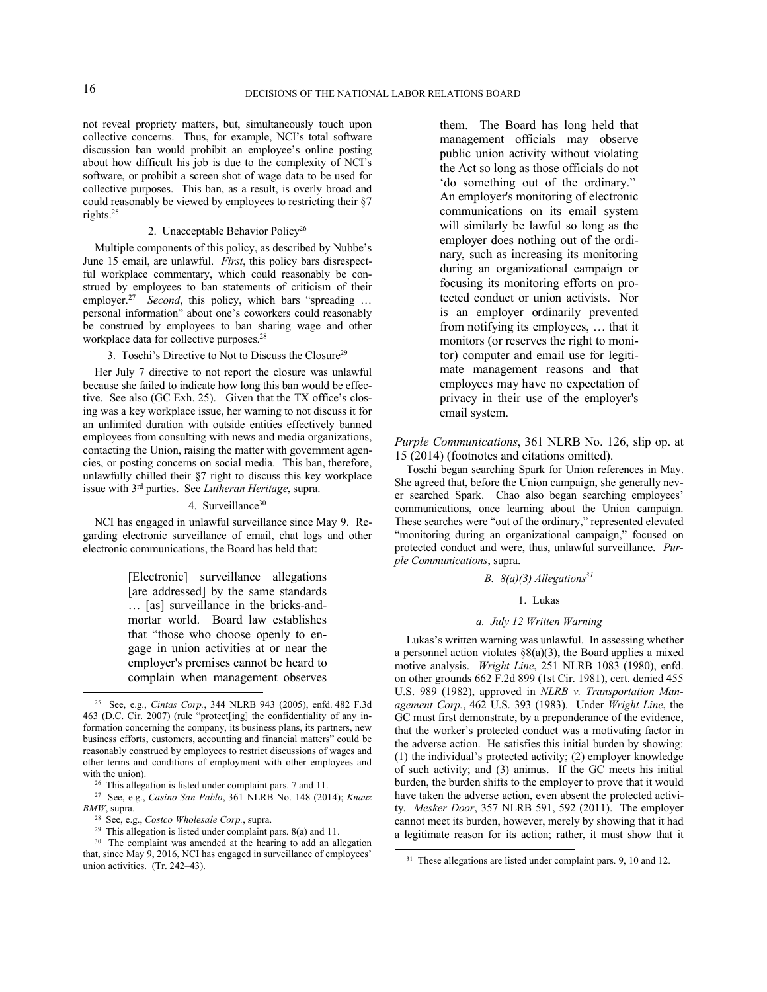not reveal propriety matters, but, simultaneously touch upon collective concerns. Thus, for example, NCI's total software discussion ban would prohibit an employee's online posting about how difficult his job is due to the complexity of NCI's software, or prohibit a screen shot of wage data to be used for collective purposes. This ban, as a result, is overly broad and could reasonably be viewed by employees to restricting their §7 rights.<sup>25</sup>

# 2. Unacceptable Behavior Policy<sup>26</sup>

Multiple components of this policy, as described by Nubbe's June 15 email, are unlawful. *First*, this policy bars disrespectful workplace commentary, which could reasonably be construed by employees to ban statements of criticism of their employer.<sup>27</sup> *Second*, this policy, which bars "spreading ... personal information" about one's coworkers could reasonably be construed by employees to ban sharing wage and other workplace data for collective purposes.<sup>28</sup>

#### 3. Toschi's Directive to Not to Discuss the Closure<sup>29</sup>

Her July 7 directive to not report the closure was unlawful because she failed to indicate how long this ban would be effective. See also (GC Exh. 25). Given that the TX office's closing was a key workplace issue, her warning to not discuss it for an unlimited duration with outside entities effectively banned employees from consulting with news and media organizations, contacting the Union, raising the matter with government agencies, or posting concerns on social media. This ban, therefore, unlawfully chilled their §7 right to discuss this key workplace issue with 3rd parties. See *Lutheran Heritage*, supra.

## 4. Surveillance<sup>30</sup>

NCI has engaged in unlawful surveillance since May 9. Regarding electronic surveillance of email, chat logs and other electronic communications, the Board has held that:

> [Electronic] surveillance allegations [are addressed] by the same standards … [as] surveillance in the bricks-andmortar world. Board law establishes that "those who choose openly to engage in union activities at or near the employer's premises cannot be heard to complain when management observes

them. The Board has long held that management officials may observe public union activity without violating the Act so long as those officials do not 'do something out of the ordinary." An employer's monitoring of electronic communications on its email system will similarly be lawful so long as the employer does nothing out of the ordinary, such as increasing its monitoring during an organizational campaign or focusing its monitoring efforts on protected conduct or union activists. Nor is an employer ordinarily prevented from notifying its employees, … that it monitors (or reserves the right to monitor) computer and email use for legitimate management reasons and that employees may have no expectation of privacy in their use of the employer's email system.

*Purple Communications*, 361 NLRB No. 126, slip op. at 15 (2014) (footnotes and citations omitted).

Toschi began searching Spark for Union references in May. She agreed that, before the Union campaign, she generally never searched Spark. Chao also began searching employees' communications, once learning about the Union campaign. These searches were "out of the ordinary," represented elevated "monitoring during an organizational campaign," focused on protected conduct and were, thus, unlawful surveillance. *Purple Communications*, supra.

# *B. 8(a)(3) Allegations<sup>31</sup>*

# 1. Lukas

# *a. July 12 Written Warning*

Lukas's written warning was unlawful. In assessing whether a personnel action violates  $\S( a)(3)$ , the Board applies a mixed motive analysis. *Wright Line*, 251 NLRB 1083 (1980), enfd. on other grounds 662 F.2d 899 (1st Cir. 1981), cert. denied 455 U.S. 989 (1982), approved in *NLRB v. Transportation Management Corp.*, 462 U.S. 393 (1983). Under *Wright Line*, the GC must first demonstrate, by a preponderance of the evidence, that the worker's protected conduct was a motivating factor in the adverse action. He satisfies this initial burden by showing: (1) the individual's protected activity; (2) employer knowledge of such activity; and (3) animus. If the GC meets his initial burden, the burden shifts to the employer to prove that it would have taken the adverse action, even absent the protected activity. *Mesker Door*, 357 NLRB 591, 592 (2011). The employer cannot meet its burden, however, merely by showing that it had a legitimate reason for its action; rather, it must show that it

l

<sup>25</sup> See, e.g., *Cintas Corp.*, 344 NLRB 943 (2005), enfd. 482 F.3d 463 (D.C. Cir. 2007) (rule "protect[ing] the confidentiality of any information concerning the company, its business plans, its partners, new business efforts, customers, accounting and financial matters" could be reasonably construed by employees to restrict discussions of wages and other terms and conditions of employment with other employees and with the union).

<sup>&</sup>lt;sup>26</sup> This allegation is listed under complaint pars. 7 and 11.

<sup>27</sup> See, e.g., *Casino San Pablo*, 361 NLRB No. 148 (2014); *Knauz BMW*, supra.

<sup>28</sup> See, e.g., *Costco Wholesale Corp.*, supra.

<sup>29</sup> This allegation is listed under complaint pars. 8(a) and 11.

<sup>&</sup>lt;sup>30</sup> The complaint was amended at the hearing to add an allegation that, since May 9, 2016, NCI has engaged in surveillance of employees' union activities. (Tr. 242–43).

<sup>&</sup>lt;sup>31</sup> These allegations are listed under complaint pars. 9, 10 and 12.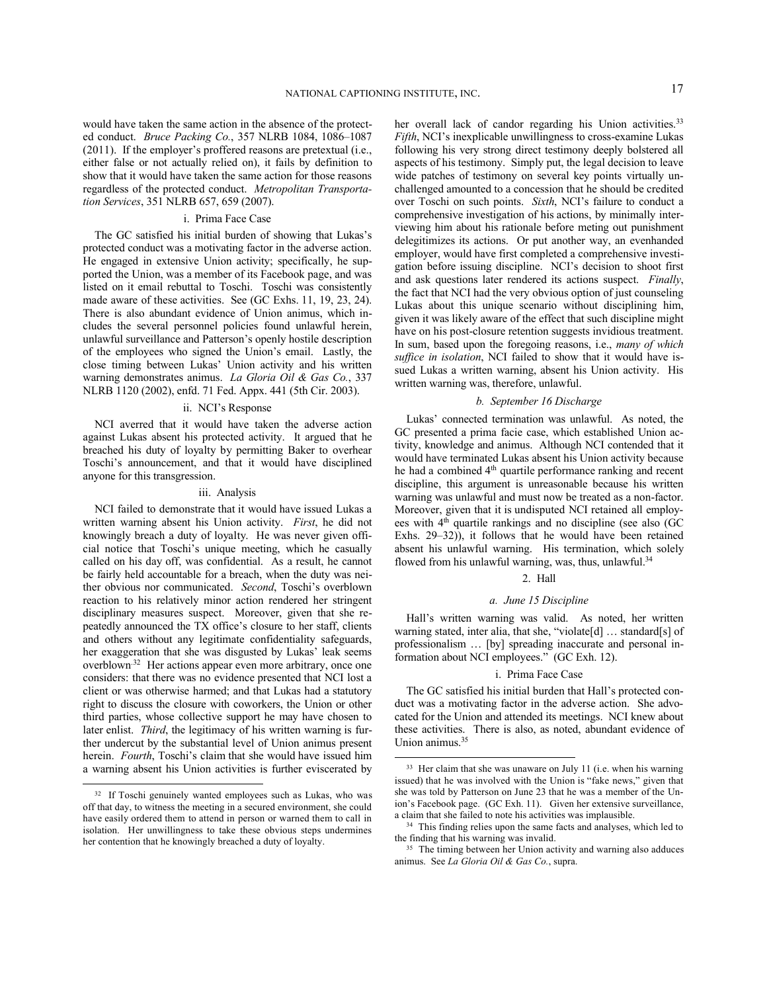would have taken the same action in the absence of the protected conduct. *Bruce Packing Co.*, 357 NLRB 1084, 1086–1087 (2011). If the employer's proffered reasons are pretextual (i.e., either false or not actually relied on), it fails by definition to show that it would have taken the same action for those reasons regardless of the protected conduct. *Metropolitan Transportation Services*, 351 NLRB 657, 659 (2007).

### i. Prima Face Case

The GC satisfied his initial burden of showing that Lukas's protected conduct was a motivating factor in the adverse action. He engaged in extensive Union activity; specifically, he supported the Union, was a member of its Facebook page, and was listed on it email rebuttal to Toschi. Toschi was consistently made aware of these activities. See (GC Exhs. 11, 19, 23, 24). There is also abundant evidence of Union animus, which includes the several personnel policies found unlawful herein, unlawful surveillance and Patterson's openly hostile description of the employees who signed the Union's email. Lastly, the close timing between Lukas' Union activity and his written warning demonstrates animus. *La Gloria Oil & Gas Co.*, 337 NLRB 1120 (2002), enfd. 71 Fed. Appx. 441 (5th Cir. 2003).

# ii. NCI's Response

NCI averred that it would have taken the adverse action against Lukas absent his protected activity. It argued that he breached his duty of loyalty by permitting Baker to overhear Toschi's announcement, and that it would have disciplined anyone for this transgression.

#### iii. Analysis

NCI failed to demonstrate that it would have issued Lukas a written warning absent his Union activity. *First*, he did not knowingly breach a duty of loyalty. He was never given official notice that Toschi's unique meeting, which he casually called on his day off, was confidential. As a result, he cannot be fairly held accountable for a breach, when the duty was neither obvious nor communicated. *Second*, Toschi's overblown reaction to his relatively minor action rendered her stringent disciplinary measures suspect. Moreover, given that she repeatedly announced the TX office's closure to her staff, clients and others without any legitimate confidentiality safeguards, her exaggeration that she was disgusted by Lukas' leak seems overblown<sup>32</sup> Her actions appear even more arbitrary, once one considers: that there was no evidence presented that NCI lost a client or was otherwise harmed; and that Lukas had a statutory right to discuss the closure with coworkers, the Union or other third parties, whose collective support he may have chosen to later enlist. *Third*, the legitimacy of his written warning is further undercut by the substantial level of Union animus present herein. *Fourth*, Toschi's claim that she would have issued him a warning absent his Union activities is further eviscerated by

-

her overall lack of candor regarding his Union activities.<sup>33</sup> *Fifth*, NCI's inexplicable unwillingness to cross-examine Lukas following his very strong direct testimony deeply bolstered all aspects of his testimony. Simply put, the legal decision to leave wide patches of testimony on several key points virtually unchallenged amounted to a concession that he should be credited over Toschi on such points. *Sixth*, NCI's failure to conduct a comprehensive investigation of his actions, by minimally interviewing him about his rationale before meting out punishment delegitimizes its actions. Or put another way, an evenhanded employer, would have first completed a comprehensive investigation before issuing discipline. NCI's decision to shoot first and ask questions later rendered its actions suspect. *Finally*, the fact that NCI had the very obvious option of just counseling Lukas about this unique scenario without disciplining him, given it was likely aware of the effect that such discipline might have on his post-closure retention suggests invidious treatment. In sum, based upon the foregoing reasons, i.e., *many of which suffice in isolation*, NCI failed to show that it would have issued Lukas a written warning, absent his Union activity. His written warning was, therefore, unlawful.

### *b. September 16 Discharge*

Lukas' connected termination was unlawful. As noted, the GC presented a prima facie case, which established Union activity, knowledge and animus. Although NCI contended that it would have terminated Lukas absent his Union activity because he had a combined 4<sup>th</sup> quartile performance ranking and recent discipline, this argument is unreasonable because his written warning was unlawful and must now be treated as a non-factor. Moreover, given that it is undisputed NCI retained all employees with 4<sup>th</sup> quartile rankings and no discipline (see also (GC Exhs. 29–32)), it follows that he would have been retained absent his unlawful warning. His termination, which solely flowed from his unlawful warning, was, thus, unlawful.<sup>34</sup>

# 2. Hall

#### *a. June 15 Discipline*

Hall's written warning was valid. As noted, her written warning stated, inter alia, that she, "violate[d] … standard[s] of professionalism … [by] spreading inaccurate and personal information about NCI employees." (GC Exh. 12).

### i. Prima Face Case

The GC satisfied his initial burden that Hall's protected conduct was a motivating factor in the adverse action. She advocated for the Union and attended its meetings. NCI knew about these activities. There is also, as noted, abundant evidence of Union animus.<sup>35</sup>

<sup>32</sup> If Toschi genuinely wanted employees such as Lukas, who was off that day, to witness the meeting in a secured environment, she could have easily ordered them to attend in person or warned them to call in isolation. Her unwillingness to take these obvious steps undermines her contention that he knowingly breached a duty of loyalty.

<sup>&</sup>lt;sup>33</sup> Her claim that she was unaware on July 11 (i.e. when his warning issued) that he was involved with the Union is "fake news," given that she was told by Patterson on June 23 that he was a member of the Union's Facebook page. (GC Exh. 11). Given her extensive surveillance, a claim that she failed to note his activities was implausible.

<sup>&</sup>lt;sup>34</sup> This finding relies upon the same facts and analyses, which led to the finding that his warning was invalid.

<sup>&</sup>lt;sup>35</sup> The timing between her Union activity and warning also adduces animus. See *La Gloria Oil & Gas Co.*, supra.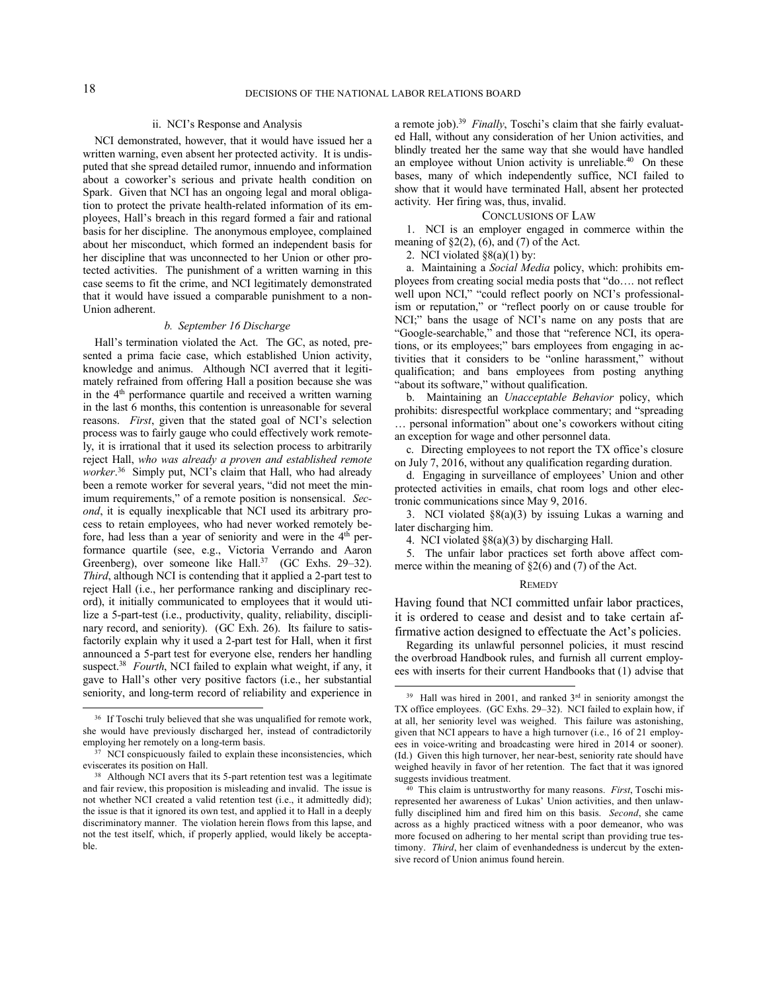l

## ii. NCI's Response and Analysis

NCI demonstrated, however, that it would have issued her a written warning, even absent her protected activity. It is undisputed that she spread detailed rumor, innuendo and information about a coworker's serious and private health condition on Spark. Given that NCI has an ongoing legal and moral obligation to protect the private health-related information of its employees, Hall's breach in this regard formed a fair and rational basis for her discipline. The anonymous employee, complained about her misconduct, which formed an independent basis for her discipline that was unconnected to her Union or other protected activities. The punishment of a written warning in this case seems to fit the crime, and NCI legitimately demonstrated that it would have issued a comparable punishment to a non-Union adherent.

### *b. September 16 Discharge*

Hall's termination violated the Act. The GC, as noted, presented a prima facie case, which established Union activity, knowledge and animus. Although NCI averred that it legitimately refrained from offering Hall a position because she was in the 4<sup>th</sup> performance quartile and received a written warning in the last 6 months, this contention is unreasonable for several reasons. *First*, given that the stated goal of NCI's selection process was to fairly gauge who could effectively work remotely, it is irrational that it used its selection process to arbitrarily reject Hall, *who was already a proven and established remote worker*. 36 Simply put, NCI's claim that Hall, who had already been a remote worker for several years, "did not meet the minimum requirements," of a remote position is nonsensical. *Second*, it is equally inexplicable that NCI used its arbitrary process to retain employees, who had never worked remotely before, had less than a year of seniority and were in the 4<sup>th</sup> performance quartile (see, e.g., Victoria Verrando and Aaron Greenberg), over someone like Hall.<sup>37</sup> (GC Exhs. 29–32). *Third*, although NCI is contending that it applied a 2-part test to reject Hall (i.e., her performance ranking and disciplinary record), it initially communicated to employees that it would utilize a 5-part-test (i.e., productivity, quality, reliability, disciplinary record, and seniority). (GC Exh. 26). Its failure to satisfactorily explain why it used a 2-part test for Hall, when it first announced a 5-part test for everyone else, renders her handling suspect.<sup>38</sup> Fourth, NCI failed to explain what weight, if any, it gave to Hall's other very positive factors (i.e., her substantial seniority, and long-term record of reliability and experience in

a remote job).<sup>39</sup> *Finally*, Toschi's claim that she fairly evaluated Hall, without any consideration of her Union activities, and blindly treated her the same way that she would have handled an employee without Union activity is unreliable.<sup>40</sup> On these bases, many of which independently suffice, NCI failed to show that it would have terminated Hall, absent her protected activity. Her firing was, thus, invalid.

# CONCLUSIONS OF LAW

1. NCI is an employer engaged in commerce within the meaning of  $\S2(2)$ , (6), and (7) of the Act.

2. NCI violated §8(a)(1) by:

a. Maintaining a *Social Media* policy, which: prohibits employees from creating social media posts that "do…. not reflect well upon NCI," "could reflect poorly on NCI's professionalism or reputation," or "reflect poorly on or cause trouble for NCI;" bans the usage of NCI's name on any posts that are "Google-searchable," and those that "reference NCI, its operations, or its employees;" bars employees from engaging in activities that it considers to be "online harassment," without qualification; and bans employees from posting anything 'about its software," without qualification.

b. Maintaining an *Unacceptable Behavior* policy, which prohibits: disrespectful workplace commentary; and "spreading … personal information" about one's coworkers without citing an exception for wage and other personnel data.

c. Directing employees to not report the TX office's closure on July 7, 2016, without any qualification regarding duration.

d. Engaging in surveillance of employees' Union and other protected activities in emails, chat room logs and other electronic communications since May 9, 2016.

3. NCI violated §8(a)(3) by issuing Lukas a warning and later discharging him.

5. The unfair labor practices set forth above affect commerce within the meaning of  $\S2(6)$  and (7) of the Act.

#### **REMEDY**

Having found that NCI committed unfair labor practices, it is ordered to cease and desist and to take certain affirmative action designed to effectuate the Act's policies.

Regarding its unlawful personnel policies, it must rescind the overbroad Handbook rules, and furnish all current employees with inserts for their current Handbooks that (1) advise that

<sup>&</sup>lt;sup>36</sup> If Toschi truly believed that she was unqualified for remote work, she would have previously discharged her, instead of contradictorily employing her remotely on a long-term basis.

<sup>37</sup> NCI conspicuously failed to explain these inconsistencies, which eviscerates its position on Hall.

<sup>&</sup>lt;sup>38</sup> Although NCI avers that its 5-part retention test was a legitimate and fair review, this proposition is misleading and invalid. The issue is not whether NCI created a valid retention test (i.e., it admittedly did); the issue is that it ignored its own test, and applied it to Hall in a deeply discriminatory manner. The violation herein flows from this lapse, and not the test itself, which, if properly applied, would likely be acceptable.

<sup>4.</sup> NCI violated §8(a)(3) by discharging Hall.

<sup>39</sup> Hall was hired in 2001, and ranked 3<sup>rd</sup> in seniority amongst the TX office employees. (GC Exhs. 29–32). NCI failed to explain how, if at all, her seniority level was weighed. This failure was astonishing, given that NCI appears to have a high turnover (i.e., 16 of 21 employees in voice-writing and broadcasting were hired in 2014 or sooner). (Id.) Given this high turnover, her near-best, seniority rate should have weighed heavily in favor of her retention. The fact that it was ignored suggests invidious treatment.

<sup>40</sup> This claim is untrustworthy for many reasons. *First*, Toschi misrepresented her awareness of Lukas' Union activities, and then unlawfully disciplined him and fired him on this basis. *Second*, she came across as a highly practiced witness with a poor demeanor, who was more focused on adhering to her mental script than providing true testimony. *Third*, her claim of evenhandedness is undercut by the extensive record of Union animus found herein.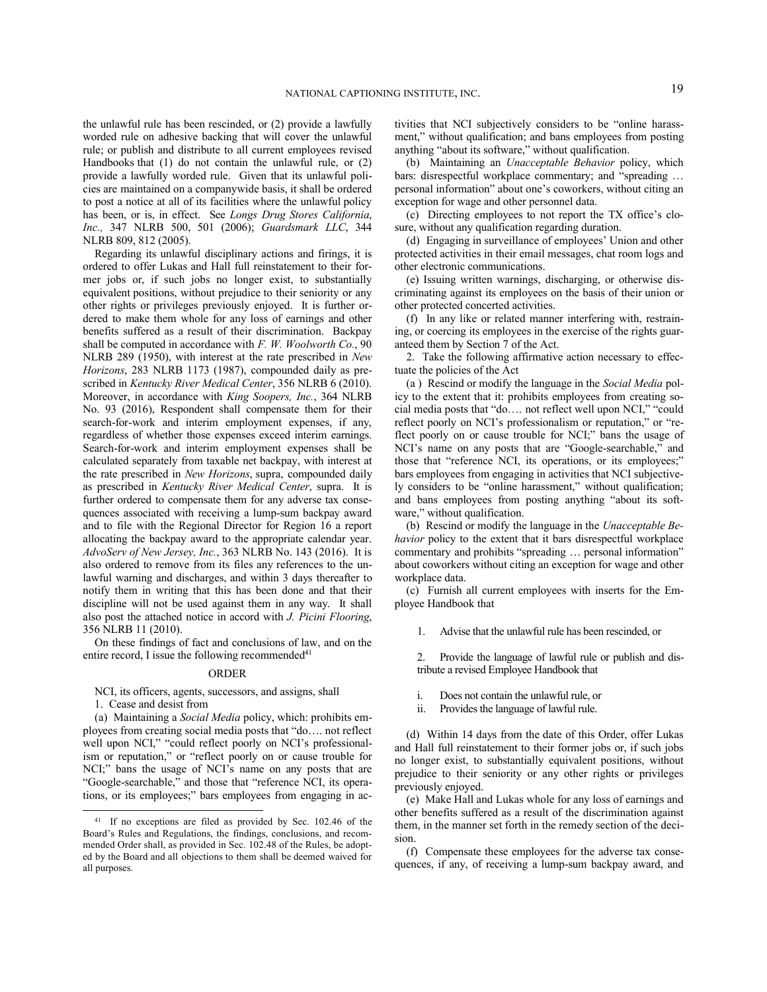the unlawful rule has been rescinded, or (2) provide a lawfully worded rule on adhesive backing that will cover the unlawful rule; or publish and distribute to all current employees revised Handbooks that (1) do not contain the unlawful rule, or (2) provide a lawfully worded rule. Given that its unlawful policies are maintained on a companywide basis, it shall be ordered to post a notice at all of its facilities where the unlawful policy has been, or is, in effect. See *Longs Drug Stores California*, *Inc.,* 347 NLRB 500, 501 (2006); *Guardsmark LLC*, 344 NLRB 809, 812 (2005).

Regarding its unlawful disciplinary actions and firings, it is ordered to offer Lukas and Hall full reinstatement to their former jobs or, if such jobs no longer exist, to substantially equivalent positions, without prejudice to their seniority or any other rights or privileges previously enjoyed. It is further ordered to make them whole for any loss of earnings and other benefits suffered as a result of their discrimination. Backpay shall be computed in accordance with *F. W. Woolworth Co.*, 90 NLRB 289 (1950), with interest at the rate prescribed in *New Horizons*, 283 NLRB 1173 (1987), compounded daily as prescribed in *Kentucky River Medical Center*, 356 NLRB 6 (2010). Moreover, in accordance with *King Soopers, Inc.*, 364 NLRB No. 93 (2016), Respondent shall compensate them for their search-for-work and interim employment expenses, if any, regardless of whether those expenses exceed interim earnings. Search-for-work and interim employment expenses shall be calculated separately from taxable net backpay, with interest at the rate prescribed in *New Horizons*, supra, compounded daily as prescribed in *Kentucky River Medical Center*, supra. It is further ordered to compensate them for any adverse tax consequences associated with receiving a lump-sum backpay award and to file with the Regional Director for Region 16 a report allocating the backpay award to the appropriate calendar year. *AdvoServ of New Jersey, Inc.*, 363 NLRB No. 143 (2016). It is also ordered to remove from its files any references to the unlawful warning and discharges, and within 3 days thereafter to notify them in writing that this has been done and that their discipline will not be used against them in any way. It shall also post the attached notice in accord with *J. Picini Flooring*, 356 NLRB 11 (2010).

On these findings of fact and conclusions of law, and on the entire record, I issue the following recommended $41$ 

### ORDER

NCI, its officers, agents, successors, and assigns, shall

1. Cease and desist from

-

(a) Maintaining a *Social Media* policy, which: prohibits employees from creating social media posts that "do…. not reflect well upon NCI," "could reflect poorly on NCI's professionalism or reputation," or "reflect poorly on or cause trouble for NCI;" bans the usage of NCI's name on any posts that are "Google-searchable," and those that "reference NCI, its operations, or its employees;" bars employees from engaging in activities that NCI subjectively considers to be "online harassment," without qualification; and bans employees from posting anything "about its software," without qualification.

(b) Maintaining an *Unacceptable Behavior* policy, which bars: disrespectful workplace commentary; and "spreading … personal information" about one's coworkers, without citing an exception for wage and other personnel data.

(c) Directing employees to not report the TX office's closure, without any qualification regarding duration.

(d) Engaging in surveillance of employees' Union and other protected activities in their email messages, chat room logs and other electronic communications.

(e) Issuing written warnings, discharging, or otherwise discriminating against its employees on the basis of their union or other protected concerted activities.

(f) In any like or related manner interfering with, restraining, or coercing its employees in the exercise of the rights guaranteed them by Section 7 of the Act.

2. Take the following affirmative action necessary to effectuate the policies of the Act

(a ) Rescind or modify the language in the *Social Media* policy to the extent that it: prohibits employees from creating social media posts that "do…. not reflect well upon NCI," "could reflect poorly on NCI's professionalism or reputation," or "reflect poorly on or cause trouble for NCI;" bans the usage of NCI's name on any posts that are "Google-searchable," and those that "reference NCI, its operations, or its employees;" bars employees from engaging in activities that NCI subjectively considers to be "online harassment," without qualification; and bans employees from posting anything "about its software," without qualification.

(b) Rescind or modify the language in the *Unacceptable Behavior* policy to the extent that it bars disrespectful workplace commentary and prohibits "spreading … personal information" about coworkers without citing an exception for wage and other workplace data.

(c) Furnish all current employees with inserts for the Employee Handbook that

1. Advise that the unlawful rule has been rescinded, or

2. Provide the language of lawful rule or publish and distribute a revised Employee Handbook that

- i. Does not contain the unlawful rule, or
- ii. Provides the language of lawful rule.

(d) Within 14 days from the date of this Order, offer Lukas and Hall full reinstatement to their former jobs or, if such jobs no longer exist, to substantially equivalent positions, without prejudice to their seniority or any other rights or privileges previously enjoyed.

(e) Make Hall and Lukas whole for any loss of earnings and other benefits suffered as a result of the discrimination against them, in the manner set forth in the remedy section of the decision.

(f) Compensate these employees for the adverse tax consequences, if any, of receiving a lump-sum backpay award, and

<sup>41</sup> If no exceptions are filed as provided by Sec. 102.46 of the Board's Rules and Regulations, the findings, conclusions, and recommended Order shall, as provided in Sec. 102.48 of the Rules, be adopted by the Board and all objections to them shall be deemed waived for all purposes.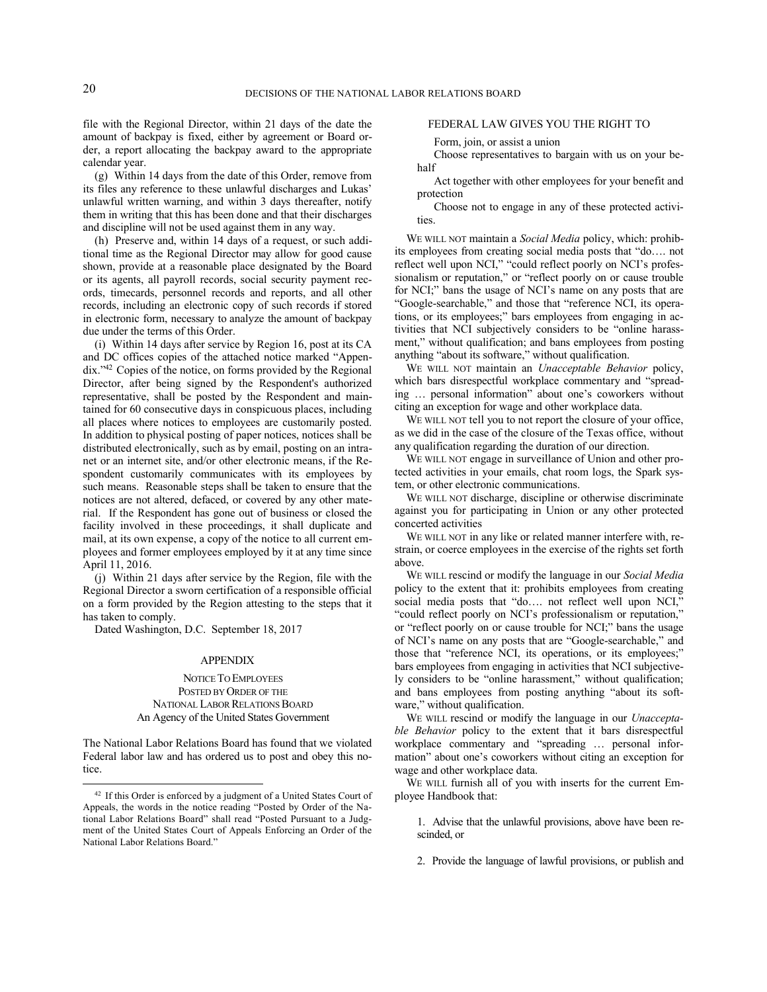file with the Regional Director, within 21 days of the date the amount of backpay is fixed, either by agreement or Board order, a report allocating the backpay award to the appropriate calendar year.

(g) Within 14 days from the date of this Order, remove from its files any reference to these unlawful discharges and Lukas' unlawful written warning, and within 3 days thereafter, notify them in writing that this has been done and that their discharges and discipline will not be used against them in any way.

(h) Preserve and, within 14 days of a request, or such additional time as the Regional Director may allow for good cause shown, provide at a reasonable place designated by the Board or its agents, all payroll records, social security payment records, timecards, personnel records and reports, and all other records, including an electronic copy of such records if stored in electronic form, necessary to analyze the amount of backpay due under the terms of this Order.

(i) Within 14 days after service by Region 16, post at its CA and DC offices copies of the attached notice marked "Appendix."<sup>42</sup> Copies of the notice, on forms provided by the Regional Director, after being signed by the Respondent's authorized representative, shall be posted by the Respondent and maintained for 60 consecutive days in conspicuous places, including all places where notices to employees are customarily posted. In addition to physical posting of paper notices, notices shall be distributed electronically, such as by email, posting on an intranet or an internet site, and/or other electronic means, if the Respondent customarily communicates with its employees by such means. Reasonable steps shall be taken to ensure that the notices are not altered, defaced, or covered by any other material. If the Respondent has gone out of business or closed the facility involved in these proceedings, it shall duplicate and mail, at its own expense, a copy of the notice to all current employees and former employees employed by it at any time since April 11, 2016.

(j) Within 21 days after service by the Region, file with the Regional Director a sworn certification of a responsible official on a form provided by the Region attesting to the steps that it has taken to comply.

Dated Washington, D.C. September 18, 2017

#### APPENDIX

# NOTICE TO EMPLOYEES POSTED BY ORDER OF THE NATIONAL LABOR RELATIONS BOARD An Agency of the United States Government

The National Labor Relations Board has found that we violated Federal labor law and has ordered us to post and obey this notice.

## FEDERAL LAW GIVES YOU THE RIGHT TO

Form, join, or assist a union

Choose representatives to bargain with us on your behalf

Act together with other employees for your benefit and protection

Choose not to engage in any of these protected activities.

WE WILL NOT maintain a *Social Media* policy, which: prohibits employees from creating social media posts that "do…. not reflect well upon NCI," "could reflect poorly on NCI's professionalism or reputation," or "reflect poorly on or cause trouble for NCI;" bans the usage of NCI's name on any posts that are "Google-searchable," and those that "reference NCI, its operations, or its employees;" bars employees from engaging in activities that NCI subjectively considers to be "online harassment," without qualification; and bans employees from posting anything "about its software," without qualification.

WE WILL NOT maintain an *Unacceptable Behavior* policy, which bars disrespectful workplace commentary and "spreading … personal information" about one's coworkers without citing an exception for wage and other workplace data.

WE WILL NOT tell you to not report the closure of your office, as we did in the case of the closure of the Texas office, without any qualification regarding the duration of our direction.

WE WILL NOT engage in surveillance of Union and other protected activities in your emails, chat room logs, the Spark system, or other electronic communications.

WE WILL NOT discharge, discipline or otherwise discriminate against you for participating in Union or any other protected concerted activities

WE WILL NOT in any like or related manner interfere with, restrain, or coerce employees in the exercise of the rights set forth above.

WE WILL rescind or modify the language in our *Social Media* policy to the extent that it: prohibits employees from creating social media posts that "do.... not reflect well upon NCI," "could reflect poorly on NCI's professionalism or reputation," or "reflect poorly on or cause trouble for NCI;" bans the usage of NCI's name on any posts that are "Google-searchable," and those that "reference NCI, its operations, or its employees;" bars employees from engaging in activities that NCI subjectively considers to be "online harassment," without qualification; and bans employees from posting anything "about its software," without qualification.

WE WILL rescind or modify the language in our *Unacceptable Behavior* policy to the extent that it bars disrespectful workplace commentary and "spreading … personal information" about one's coworkers without citing an exception for wage and other workplace data.

WE WILL furnish all of you with inserts for the current Employee Handbook that:

- 1. Advise that the unlawful provisions, above have been rescinded, or
- 2. Provide the language of lawful provisions, or publish and

<sup>42</sup> If this Order is enforced by a judgment of a United States Court of Appeals, the words in the notice reading "Posted by Order of the National Labor Relations Board" shall read "Posted Pursuant to a Judgment of the United States Court of Appeals Enforcing an Order of the National Labor Relations Board."